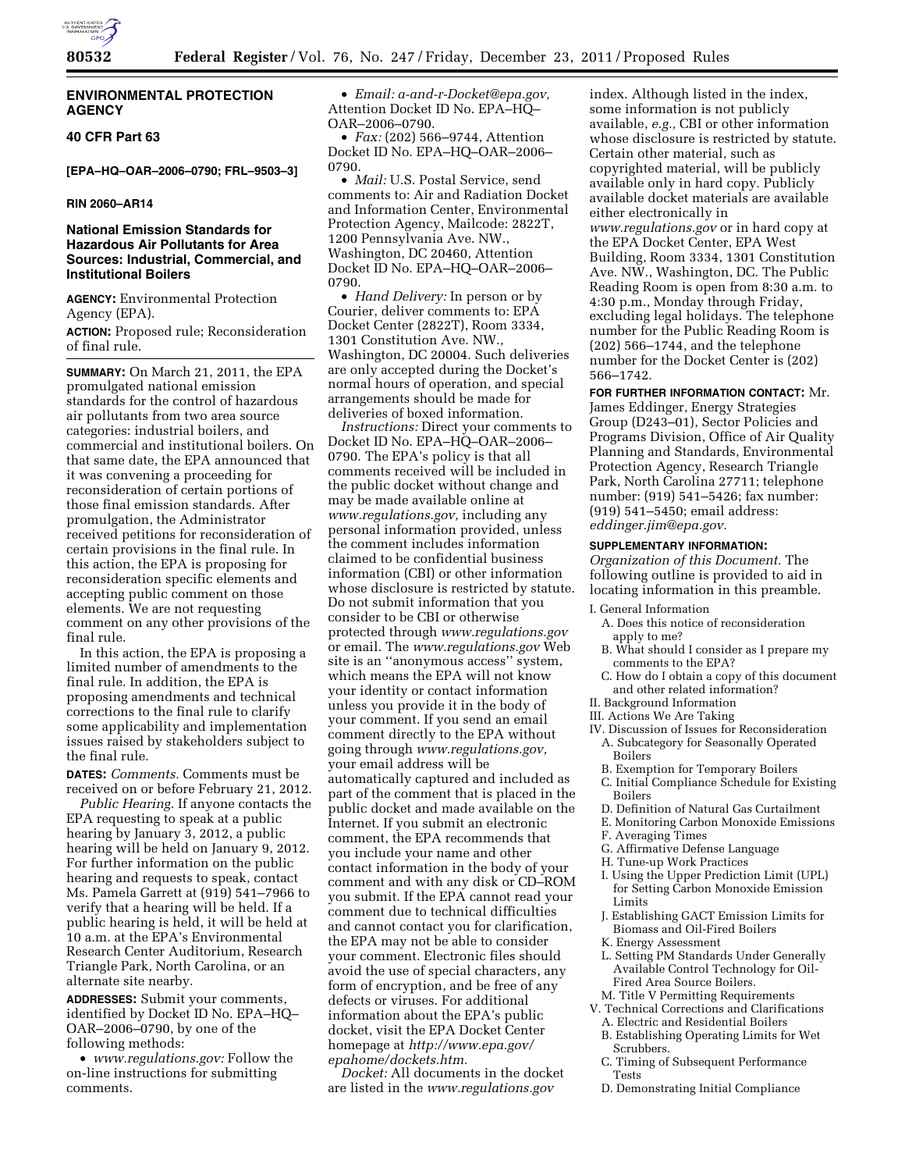

## **ENVIRONMENTAL PROTECTION AGENCY**

# **40 CFR Part 63**

**[EPA–HQ–OAR–2006–0790; FRL–9503–3]** 

## **RIN 2060–AR14**

## **National Emission Standards for Hazardous Air Pollutants for Area Sources: Industrial, Commercial, and Institutional Boilers**

**AGENCY:** Environmental Protection Agency (EPA).

**ACTION:** Proposed rule; Reconsideration of final rule.

**SUMMARY:** On March 21, 2011, the EPA promulgated national emission standards for the control of hazardous air pollutants from two area source categories: industrial boilers, and commercial and institutional boilers. On that same date, the EPA announced that it was convening a proceeding for reconsideration of certain portions of those final emission standards. After promulgation, the Administrator received petitions for reconsideration of certain provisions in the final rule. In this action, the EPA is proposing for reconsideration specific elements and accepting public comment on those elements. We are not requesting comment on any other provisions of the final rule.

In this action, the EPA is proposing a limited number of amendments to the final rule. In addition, the EPA is proposing amendments and technical corrections to the final rule to clarify some applicability and implementation issues raised by stakeholders subject to the final rule.

**DATES:** *Comments.* Comments must be received on or before February 21, 2012.

*Public Hearing.* If anyone contacts the EPA requesting to speak at a public hearing by January 3, 2012, a public hearing will be held on January 9, 2012. For further information on the public hearing and requests to speak, contact Ms. Pamela Garrett at (919) 541–7966 to verify that a hearing will be held. If a public hearing is held, it will be held at 10 a.m. at the EPA's Environmental Research Center Auditorium, Research Triangle Park, North Carolina, or an alternate site nearby.

**ADDRESSES:** Submit your comments, identified by Docket ID No. EPA–HQ– OAR–2006–0790, by one of the following methods:

• *www.regulations.gov:* Follow the on-line instructions for submitting comments.

• *Email: a-and-r-Docket@epa.gov,*  Attention Docket ID No. EPA–HQ– OAR–2006–0790.

• *Fax:* (202) 566–9744, Attention Docket ID No. EPA–HQ–OAR–2006– 0790.

• *Mail:* U.S. Postal Service, send comments to: Air and Radiation Docket and Information Center, Environmental Protection Agency, Mailcode: 2822T, 1200 Pennsylvania Ave. NW., Washington, DC 20460, Attention Docket ID No. EPA–HQ–OAR–2006– 0790.

• *Hand Delivery:* In person or by Courier, deliver comments to: EPA Docket Center (2822T), Room 3334, 1301 Constitution Ave. NW., Washington, DC 20004. Such deliveries are only accepted during the Docket's normal hours of operation, and special arrangements should be made for deliveries of boxed information.

*Instructions:* Direct your comments to Docket ID No. EPA–HQ–OAR–2006– 0790. The EPA's policy is that all comments received will be included in the public docket without change and may be made available online at *www.regulations.gov,* including any personal information provided, unless the comment includes information claimed to be confidential business information (CBI) or other information whose disclosure is restricted by statute. Do not submit information that you consider to be CBI or otherwise protected through *www.regulations.gov*  or email. The *www.regulations.gov* Web site is an ''anonymous access'' system, which means the EPA will not know your identity or contact information unless you provide it in the body of your comment. If you send an email comment directly to the EPA without going through *www.regulations.gov,*  your email address will be automatically captured and included as part of the comment that is placed in the public docket and made available on the Internet. If you submit an electronic comment, the EPA recommends that you include your name and other contact information in the body of your comment and with any disk or CD–ROM you submit. If the EPA cannot read your comment due to technical difficulties and cannot contact you for clarification, the EPA may not be able to consider your comment. Electronic files should avoid the use of special characters, any form of encryption, and be free of any defects or viruses. For additional information about the EPA's public docket, visit the EPA Docket Center homepage at *http://www.epa.gov/ epahome/dockets.htm.* 

*Docket:* All documents in the docket are listed in the *www.regulations.gov* 

index. Although listed in the index, some information is not publicly available, *e.g.,* CBI or other information whose disclosure is restricted by statute. Certain other material, such as copyrighted material, will be publicly available only in hard copy. Publicly available docket materials are available either electronically in *www.regulations.gov* or in hard copy at the EPA Docket Center, EPA West Building, Room 3334, 1301 Constitution Ave. NW., Washington, DC. The Public Reading Room is open from 8:30 a.m. to 4:30 p.m., Monday through Friday, excluding legal holidays. The telephone number for the Public Reading Room is (202) 566–1744, and the telephone number for the Docket Center is (202) 566–1742.

**FOR FURTHER INFORMATION CONTACT:** Mr. James Eddinger, Energy Strategies Group (D243–01), Sector Policies and Programs Division, Office of Air Quality Planning and Standards, Environmental Protection Agency, Research Triangle Park, North Carolina 27711; telephone number: (919) 541–5426; fax number: (919) 541–5450; email address: *eddinger.jim@epa.gov.* 

#### **SUPPLEMENTARY INFORMATION:**

*Organization of this Document.* The following outline is provided to aid in locating information in this preamble.

I. General Information

- A. Does this notice of reconsideration apply to me?
- B. What should I consider as I prepare my comments to the EPA?
- C. How do I obtain a copy of this document and other related information?
- II. Background Information
- III. Actions We Are Taking
- IV. Discussion of Issues for Reconsideration A. Subcategory for Seasonally Operated Boilers
	- B. Exemption for Temporary Boilers
- C. Initial Compliance Schedule for Existing Boilers
- D. Definition of Natural Gas Curtailment
- E. Monitoring Carbon Monoxide Emissions
- F. Averaging Times
- G. Affirmative Defense Language
- H. Tune-up Work Practices
- I. Using the Upper Prediction Limit (UPL) for Setting Carbon Monoxide Emission Limits
- J. Establishing GACT Emission Limits for Biomass and Oil-Fired Boilers
- K. Energy Assessment
- L. Setting PM Standards Under Generally Available Control Technology for Oil-Fired Area Source Boilers.
- M. Title V Permitting Requirements
- V. Technical Corrections and Clarifications A. Electric and Residential Boilers
	- B. Establishing Operating Limits for Wet Scrubbers.
	- C. Timing of Subsequent Performance Tests
	- D. Demonstrating Initial Compliance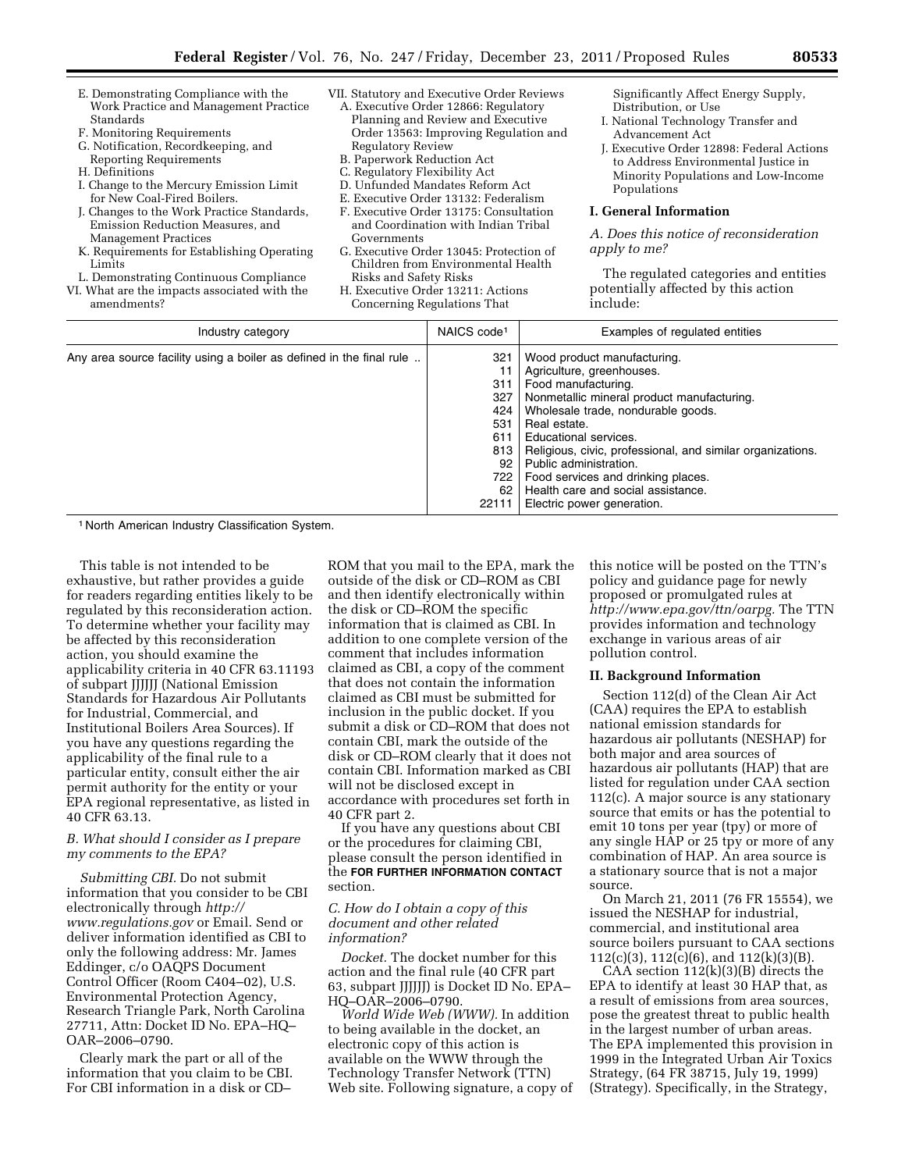- E. Demonstrating Compliance with the Work Practice and Management Practice Standards
- F. Monitoring Requirements
- G. Notification, Recordkeeping, and Reporting Requirements
- H. Definitions
- I. Change to the Mercury Emission Limit for New Coal-Fired Boilers.
- J. Changes to the Work Practice Standards, Emission Reduction Measures, and Management Practices
- K. Requirements for Establishing Operating Limits
- L. Demonstrating Continuous Compliance
- VI. What are the impacts associated with the amendments?
- VII. Statutory and Executive Order Reviews A. Executive Order 12866: Regulatory Planning and Review and Executive Order 13563: Improving Regulation and Regulatory Review
	- B. Paperwork Reduction Act
	- C. Regulatory Flexibility Act
	- D. Unfunded Mandates Reform Act
	- E. Executive Order 13132: Federalism
	- F. Executive Order 13175: Consultation and Coordination with Indian Tribal Governments
	- G. Executive Order 13045: Protection of Children from Environmental Health Risks and Safety Risks
	- H. Executive Order 13211: Actions Concerning Regulations That

Significantly Affect Energy Supply, Distribution, or Use

- I. National Technology Transfer and Advancement Act
- J. Executive Order 12898: Federal Actions to Address Environmental Justice in Minority Populations and Low-Income Populations

## **I. General Information**

*A. Does this notice of reconsideration apply to me?* 

The regulated categories and entities potentially affected by this action include:

| Industry category                                                    | NAICS code <sup>1</sup>                                                   | Examples of regulated entities                                                                                                                                                                                                                                                                                                                                                                                 |
|----------------------------------------------------------------------|---------------------------------------------------------------------------|----------------------------------------------------------------------------------------------------------------------------------------------------------------------------------------------------------------------------------------------------------------------------------------------------------------------------------------------------------------------------------------------------------------|
| Any area source facility using a boiler as defined in the final rule | 321<br>311<br>327<br>424<br>531<br>611<br>813<br>92<br>722<br>62<br>22111 | Wood product manufacturing.<br>Agriculture, greenhouses.<br>Food manufacturing.<br>Nonmetallic mineral product manufacturing.<br>Wholesale trade, nondurable goods.<br>Real estate.<br>Educational services.<br>Religious, civic, professional, and similar organizations.<br>Public administration.<br>Food services and drinking places.<br>Health care and social assistance.<br>Electric power generation. |

1 North American Industry Classification System.

This table is not intended to be exhaustive, but rather provides a guide for readers regarding entities likely to be regulated by this reconsideration action. To determine whether your facility may be affected by this reconsideration action, you should examine the applicability criteria in 40 CFR 63.11193 of subpart JJJJJJ (National Emission Standards for Hazardous Air Pollutants for Industrial, Commercial, and Institutional Boilers Area Sources). If you have any questions regarding the applicability of the final rule to a particular entity, consult either the air permit authority for the entity or your EPA regional representative, as listed in 40 CFR 63.13.

## *B. What should I consider as I prepare my comments to the EPA?*

*Submitting CBI.* Do not submit information that you consider to be CBI electronically through *http:// www.regulations.gov* or Email. Send or deliver information identified as CBI to only the following address: Mr. James Eddinger, c/o OAQPS Document Control Officer (Room C404–02), U.S. Environmental Protection Agency, Research Triangle Park, North Carolina 27711, Attn: Docket ID No. EPA–HQ– OAR–2006–0790.

Clearly mark the part or all of the information that you claim to be CBI. For CBI information in a disk or CD–

ROM that you mail to the EPA, mark the outside of the disk or CD–ROM as CBI and then identify electronically within the disk or CD–ROM the specific information that is claimed as CBI. In addition to one complete version of the comment that includes information claimed as CBI, a copy of the comment that does not contain the information claimed as CBI must be submitted for inclusion in the public docket. If you submit a disk or CD–ROM that does not contain CBI, mark the outside of the disk or CD–ROM clearly that it does not contain CBI. Information marked as CBI will not be disclosed except in accordance with procedures set forth in 40 CFR part 2.

If you have any questions about CBI or the procedures for claiming CBI, please consult the person identified in the **FOR FURTHER INFORMATION CONTACT** section.

## *C. How do I obtain a copy of this document and other related information?*

*Docket.* The docket number for this action and the final rule (40 CFR part 63, subpart JJJJJJ) is Docket ID No. EPA– HQ–OAR–2006–0790.

*World Wide Web (WWW).* In addition to being available in the docket, an electronic copy of this action is available on the WWW through the Technology Transfer Network (TTN) Web site. Following signature, a copy of this notice will be posted on the TTN's policy and guidance page for newly proposed or promulgated rules at *http://www.epa.gov/ttn/oarpg.* The TTN provides information and technology exchange in various areas of air pollution control.

#### **II. Background Information**

Section 112(d) of the Clean Air Act (CAA) requires the EPA to establish national emission standards for hazardous air pollutants (NESHAP) for both major and area sources of hazardous air pollutants (HAP) that are listed for regulation under CAA section 112(c). A major source is any stationary source that emits or has the potential to emit 10 tons per year (tpy) or more of any single HAP or 25 tpy or more of any combination of HAP. An area source is a stationary source that is not a major source.

On March 21, 2011 (76 FR 15554), we issued the NESHAP for industrial, commercial, and institutional area source boilers pursuant to CAA sections 112(c)(3), 112(c)(6), and 112(k)(3)(B).

CAA section  $112(k)(3)(B)$  directs the EPA to identify at least 30 HAP that, as a result of emissions from area sources, pose the greatest threat to public health in the largest number of urban areas. The EPA implemented this provision in 1999 in the Integrated Urban Air Toxics Strategy, (64 FR 38715, July 19, 1999) (Strategy). Specifically, in the Strategy,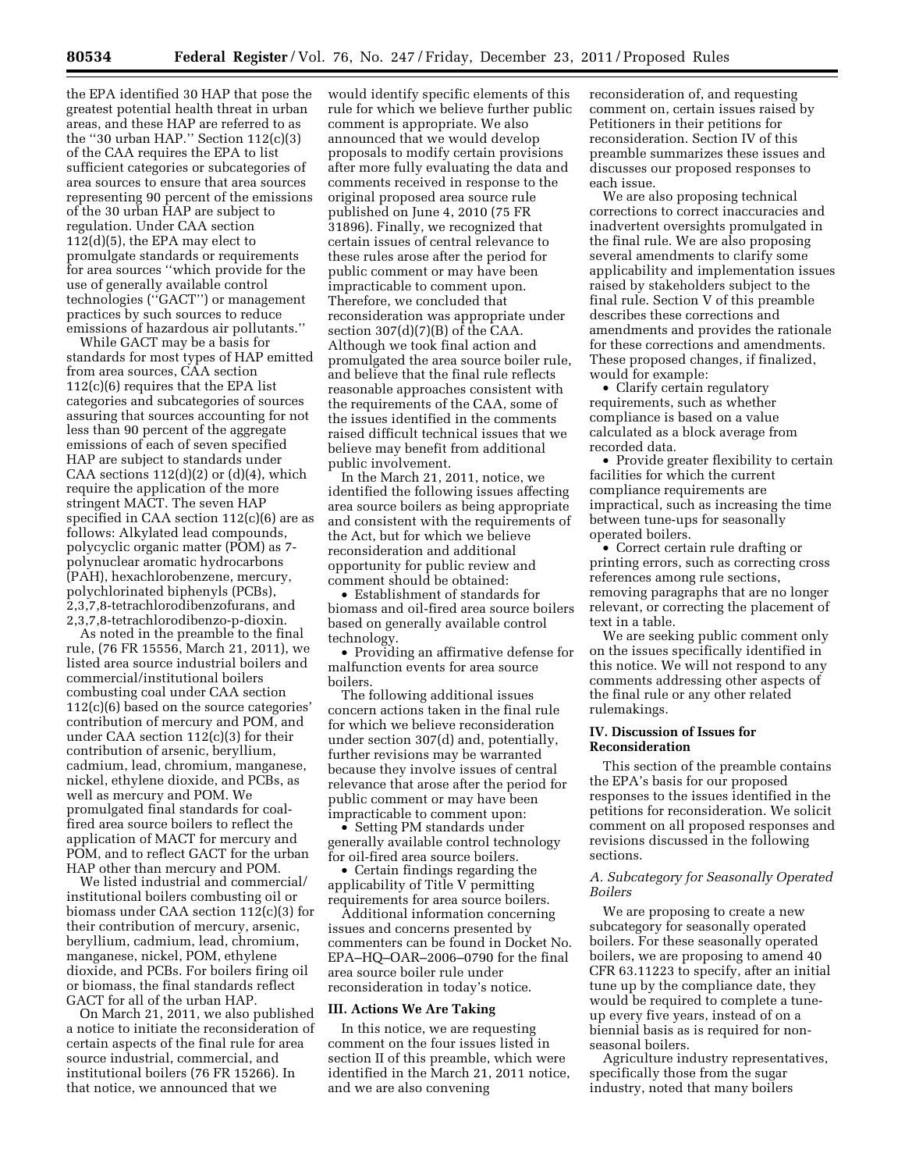the EPA identified 30 HAP that pose the greatest potential health threat in urban areas, and these HAP are referred to as the ''30 urban HAP.'' Section 112(c)(3) of the CAA requires the EPA to list sufficient categories or subcategories of area sources to ensure that area sources representing 90 percent of the emissions of the 30 urban HAP are subject to regulation. Under CAA section 112(d)(5), the EPA may elect to promulgate standards or requirements for area sources ''which provide for the use of generally available control technologies (''GACT'') or management practices by such sources to reduce emissions of hazardous air pollutants.''

While GACT may be a basis for standards for most types of HAP emitted from area sources, CAA section 112(c)(6) requires that the EPA list categories and subcategories of sources assuring that sources accounting for not less than 90 percent of the aggregate emissions of each of seven specified HAP are subject to standards under CAA sections  $112(d)(2)$  or  $(d)(4)$ , which require the application of the more stringent MACT. The seven HAP specified in CAA section 112(c)(6) are as follows: Alkylated lead compounds, polycyclic organic matter (POM) as 7 polynuclear aromatic hydrocarbons (PAH), hexachlorobenzene, mercury, polychlorinated biphenyls (PCBs), 2,3,7,8-tetrachlorodibenzofurans, and 2,3,7,8-tetrachlorodibenzo-p-dioxin.

As noted in the preamble to the final rule, (76 FR 15556, March 21, 2011), we listed area source industrial boilers and commercial/institutional boilers combusting coal under CAA section 112(c)(6) based on the source categories' contribution of mercury and POM, and under CAA section 112(c)(3) for their contribution of arsenic, beryllium, cadmium, lead, chromium, manganese, nickel, ethylene dioxide, and PCBs, as well as mercury and POM. We promulgated final standards for coalfired area source boilers to reflect the application of MACT for mercury and POM, and to reflect GACT for the urban HAP other than mercury and POM.

We listed industrial and commercial/ institutional boilers combusting oil or biomass under CAA section 112(c)(3) for their contribution of mercury, arsenic, beryllium, cadmium, lead, chromium, manganese, nickel, POM, ethylene dioxide, and PCBs. For boilers firing oil or biomass, the final standards reflect GACT for all of the urban HAP.

On March 21, 2011, we also published a notice to initiate the reconsideration of certain aspects of the final rule for area source industrial, commercial, and institutional boilers (76 FR 15266). In that notice, we announced that we

would identify specific elements of this rule for which we believe further public comment is appropriate. We also announced that we would develop proposals to modify certain provisions after more fully evaluating the data and comments received in response to the original proposed area source rule published on June 4, 2010 (75 FR 31896). Finally, we recognized that certain issues of central relevance to these rules arose after the period for public comment or may have been impracticable to comment upon. Therefore, we concluded that reconsideration was appropriate under section  $307(d)(7)(B)$  of the CAA. Although we took final action and promulgated the area source boiler rule, and believe that the final rule reflects reasonable approaches consistent with the requirements of the CAA, some of the issues identified in the comments raised difficult technical issues that we believe may benefit from additional public involvement.

In the March 21, 2011, notice, we identified the following issues affecting area source boilers as being appropriate and consistent with the requirements of the Act, but for which we believe reconsideration and additional opportunity for public review and comment should be obtained:

• Establishment of standards for biomass and oil-fired area source boilers based on generally available control technology.

• Providing an affirmative defense for malfunction events for area source boilers.

The following additional issues concern actions taken in the final rule for which we believe reconsideration under section 307(d) and, potentially, further revisions may be warranted because they involve issues of central relevance that arose after the period for public comment or may have been impracticable to comment upon:

• Setting PM standards under generally available control technology for oil-fired area source boilers.

• Certain findings regarding the applicability of Title V permitting requirements for area source boilers.

Additional information concerning issues and concerns presented by commenters can be found in Docket No. EPA–HQ–OAR–2006–0790 for the final area source boiler rule under reconsideration in today's notice.

#### **III. Actions We Are Taking**

In this notice, we are requesting comment on the four issues listed in section II of this preamble, which were identified in the March 21, 2011 notice, and we are also convening

reconsideration of, and requesting comment on, certain issues raised by Petitioners in their petitions for reconsideration. Section IV of this preamble summarizes these issues and discusses our proposed responses to each issue.

We are also proposing technical corrections to correct inaccuracies and inadvertent oversights promulgated in the final rule. We are also proposing several amendments to clarify some applicability and implementation issues raised by stakeholders subject to the final rule. Section V of this preamble describes these corrections and amendments and provides the rationale for these corrections and amendments. These proposed changes, if finalized, would for example:

• Clarify certain regulatory requirements, such as whether compliance is based on a value calculated as a block average from recorded data.

• Provide greater flexibility to certain facilities for which the current compliance requirements are impractical, such as increasing the time between tune-ups for seasonally operated boilers.

• Correct certain rule drafting or printing errors, such as correcting cross references among rule sections, removing paragraphs that are no longer relevant, or correcting the placement of text in a table.

We are seeking public comment only on the issues specifically identified in this notice. We will not respond to any comments addressing other aspects of the final rule or any other related rulemakings.

### **IV. Discussion of Issues for Reconsideration**

This section of the preamble contains the EPA's basis for our proposed responses to the issues identified in the petitions for reconsideration. We solicit comment on all proposed responses and revisions discussed in the following sections.

## *A. Subcategory for Seasonally Operated Boilers*

We are proposing to create a new subcategory for seasonally operated boilers. For these seasonally operated boilers, we are proposing to amend 40 CFR 63.11223 to specify, after an initial tune up by the compliance date, they would be required to complete a tuneup every five years, instead of on a biennial basis as is required for nonseasonal boilers.

Agriculture industry representatives, specifically those from the sugar industry, noted that many boilers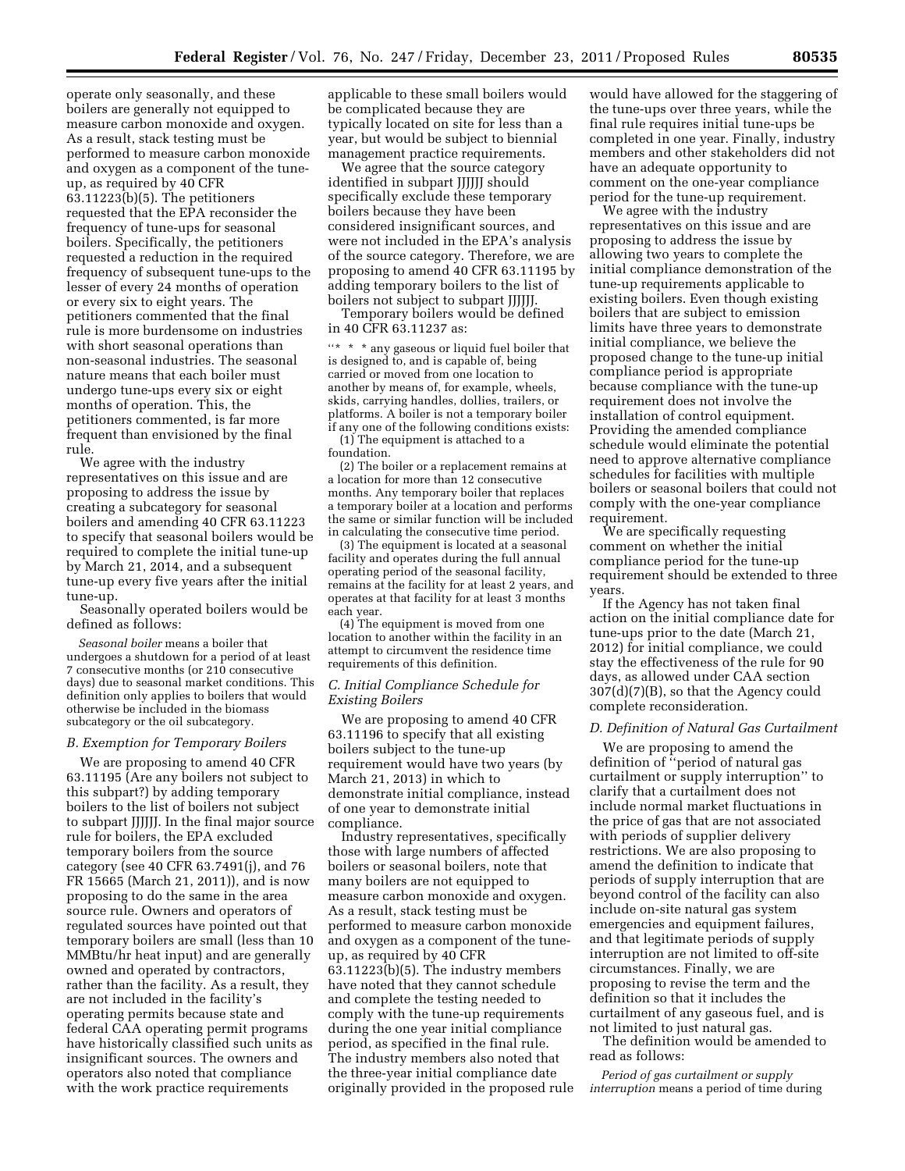operate only seasonally, and these boilers are generally not equipped to measure carbon monoxide and oxygen. As a result, stack testing must be performed to measure carbon monoxide and oxygen as a component of the tuneup, as required by 40 CFR 63.11223(b)(5). The petitioners requested that the EPA reconsider the frequency of tune-ups for seasonal boilers. Specifically, the petitioners requested a reduction in the required frequency of subsequent tune-ups to the lesser of every 24 months of operation or every six to eight years. The petitioners commented that the final rule is more burdensome on industries with short seasonal operations than non-seasonal industries. The seasonal nature means that each boiler must undergo tune-ups every six or eight months of operation. This, the petitioners commented, is far more frequent than envisioned by the final rule.

We agree with the industry representatives on this issue and are proposing to address the issue by creating a subcategory for seasonal boilers and amending 40 CFR 63.11223 to specify that seasonal boilers would be required to complete the initial tune-up by March 21, 2014, and a subsequent tune-up every five years after the initial tune-up.

Seasonally operated boilers would be defined as follows:

*Seasonal boiler* means a boiler that undergoes a shutdown for a period of at least 7 consecutive months (or 210 consecutive days) due to seasonal market conditions. This definition only applies to boilers that would otherwise be included in the biomass subcategory or the oil subcategory.

#### *B. Exemption for Temporary Boilers*

We are proposing to amend 40 CFR 63.11195 (Are any boilers not subject to this subpart?) by adding temporary boilers to the list of boilers not subject to subpart JJJJJJ. In the final major source rule for boilers, the EPA excluded temporary boilers from the source category (see 40 CFR 63.7491(j), and 76 FR 15665 (March 21, 2011)), and is now proposing to do the same in the area source rule. Owners and operators of regulated sources have pointed out that temporary boilers are small (less than 10 MMBtu/hr heat input) and are generally owned and operated by contractors, rather than the facility. As a result, they are not included in the facility's operating permits because state and federal CAA operating permit programs have historically classified such units as insignificant sources. The owners and operators also noted that compliance with the work practice requirements

applicable to these small boilers would be complicated because they are typically located on site for less than a year, but would be subject to biennial management practice requirements.

We agree that the source category identified in subpart JJJJJJ should specifically exclude these temporary boilers because they have been considered insignificant sources, and were not included in the EPA's analysis of the source category. Therefore, we are proposing to amend 40 CFR 63.11195 by adding temporary boilers to the list of boilers not subject to subpart JJJJJJ.

Temporary boilers would be defined in 40 CFR 63.11237 as:

''\* \* \* any gaseous or liquid fuel boiler that is designed to, and is capable of, being carried or moved from one location to another by means of, for example, wheels, skids, carrying handles, dollies, trailers, or platforms. A boiler is not a temporary boiler if any one of the following conditions exists:

(1) The equipment is attached to a foundation.

(2) The boiler or a replacement remains at a location for more than 12 consecutive months. Any temporary boiler that replaces a temporary boiler at a location and performs the same or similar function will be included in calculating the consecutive time period.

(3) The equipment is located at a seasonal facility and operates during the full annual operating period of the seasonal facility, remains at the facility for at least 2 years, and operates at that facility for at least 3 months each year.

(4) The equipment is moved from one location to another within the facility in an attempt to circumvent the residence time requirements of this definition.

#### *C. Initial Compliance Schedule for Existing Boilers*

We are proposing to amend 40 CFR 63.11196 to specify that all existing boilers subject to the tune-up requirement would have two years (by March 21, 2013) in which to demonstrate initial compliance, instead of one year to demonstrate initial compliance.

Industry representatives, specifically those with large numbers of affected boilers or seasonal boilers, note that many boilers are not equipped to measure carbon monoxide and oxygen. As a result, stack testing must be performed to measure carbon monoxide and oxygen as a component of the tuneup, as required by 40 CFR 63.11223(b)(5). The industry members have noted that they cannot schedule and complete the testing needed to comply with the tune-up requirements during the one year initial compliance period, as specified in the final rule. The industry members also noted that the three-year initial compliance date originally provided in the proposed rule

would have allowed for the staggering of the tune-ups over three years, while the final rule requires initial tune-ups be completed in one year. Finally, industry members and other stakeholders did not have an adequate opportunity to comment on the one-year compliance period for the tune-up requirement.

We agree with the industry representatives on this issue and are proposing to address the issue by allowing two years to complete the initial compliance demonstration of the tune-up requirements applicable to existing boilers. Even though existing boilers that are subject to emission limits have three years to demonstrate initial compliance, we believe the proposed change to the tune-up initial compliance period is appropriate because compliance with the tune-up requirement does not involve the installation of control equipment. Providing the amended compliance schedule would eliminate the potential need to approve alternative compliance schedules for facilities with multiple boilers or seasonal boilers that could not comply with the one-year compliance requirement.

We are specifically requesting comment on whether the initial compliance period for the tune-up requirement should be extended to three years.

If the Agency has not taken final action on the initial compliance date for tune-ups prior to the date (March 21, 2012) for initial compliance, we could stay the effectiveness of the rule for 90 days, as allowed under CAA section 307(d)(7)(B), so that the Agency could complete reconsideration.

#### *D. Definition of Natural Gas Curtailment*

We are proposing to amend the definition of ''period of natural gas curtailment or supply interruption'' to clarify that a curtailment does not include normal market fluctuations in the price of gas that are not associated with periods of supplier delivery restrictions. We are also proposing to amend the definition to indicate that periods of supply interruption that are beyond control of the facility can also include on-site natural gas system emergencies and equipment failures, and that legitimate periods of supply interruption are not limited to off-site circumstances. Finally, we are proposing to revise the term and the definition so that it includes the curtailment of any gaseous fuel, and is not limited to just natural gas.

The definition would be amended to read as follows:

*Period of gas curtailment or supply interruption* means a period of time during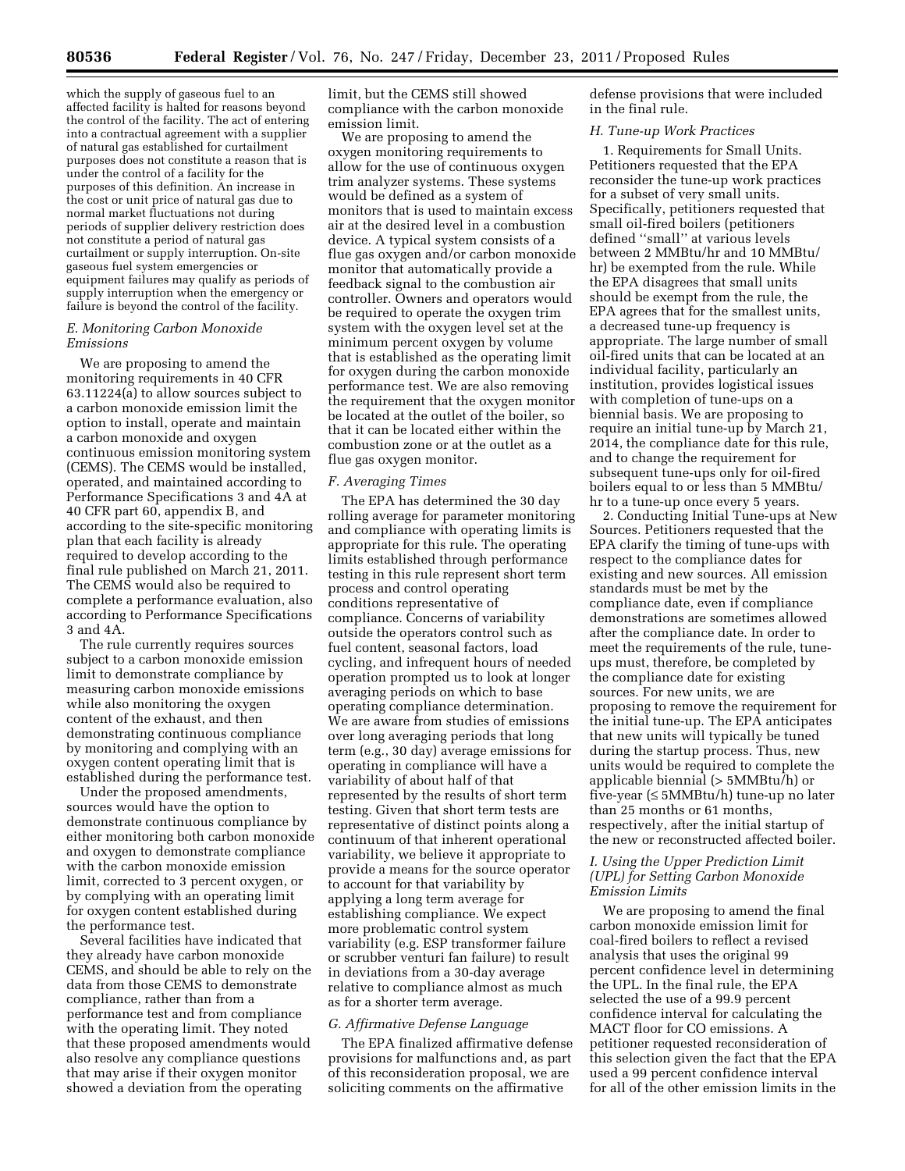which the supply of gaseous fuel to an affected facility is halted for reasons beyond the control of the facility. The act of entering into a contractual agreement with a supplier of natural gas established for curtailment purposes does not constitute a reason that is under the control of a facility for the purposes of this definition. An increase in the cost or unit price of natural gas due to normal market fluctuations not during periods of supplier delivery restriction does not constitute a period of natural gas curtailment or supply interruption. On-site gaseous fuel system emergencies or equipment failures may qualify as periods of supply interruption when the emergency or failure is beyond the control of the facility.

## *E. Monitoring Carbon Monoxide Emissions*

We are proposing to amend the monitoring requirements in 40 CFR 63.11224(a) to allow sources subject to a carbon monoxide emission limit the option to install, operate and maintain a carbon monoxide and oxygen continuous emission monitoring system (CEMS). The CEMS would be installed, operated, and maintained according to Performance Specifications 3 and 4A at 40 CFR part 60, appendix B, and according to the site-specific monitoring plan that each facility is already required to develop according to the final rule published on March 21, 2011. The CEMS would also be required to complete a performance evaluation, also according to Performance Specifications 3 and 4A.

The rule currently requires sources subject to a carbon monoxide emission limit to demonstrate compliance by measuring carbon monoxide emissions while also monitoring the oxygen content of the exhaust, and then demonstrating continuous compliance by monitoring and complying with an oxygen content operating limit that is established during the performance test.

Under the proposed amendments, sources would have the option to demonstrate continuous compliance by either monitoring both carbon monoxide and oxygen to demonstrate compliance with the carbon monoxide emission limit, corrected to 3 percent oxygen, or by complying with an operating limit for oxygen content established during the performance test.

Several facilities have indicated that they already have carbon monoxide CEMS, and should be able to rely on the data from those CEMS to demonstrate compliance, rather than from a performance test and from compliance with the operating limit. They noted that these proposed amendments would also resolve any compliance questions that may arise if their oxygen monitor showed a deviation from the operating

limit, but the CEMS still showed compliance with the carbon monoxide emission limit.

We are proposing to amend the oxygen monitoring requirements to allow for the use of continuous oxygen trim analyzer systems. These systems would be defined as a system of monitors that is used to maintain excess air at the desired level in a combustion device. A typical system consists of a flue gas oxygen and/or carbon monoxide monitor that automatically provide a feedback signal to the combustion air controller. Owners and operators would be required to operate the oxygen trim system with the oxygen level set at the minimum percent oxygen by volume that is established as the operating limit for oxygen during the carbon monoxide performance test. We are also removing the requirement that the oxygen monitor be located at the outlet of the boiler, so that it can be located either within the combustion zone or at the outlet as a flue gas oxygen monitor.

#### *F. Averaging Times*

The EPA has determined the 30 day rolling average for parameter monitoring and compliance with operating limits is appropriate for this rule. The operating limits established through performance testing in this rule represent short term process and control operating conditions representative of compliance. Concerns of variability outside the operators control such as fuel content, seasonal factors, load cycling, and infrequent hours of needed operation prompted us to look at longer averaging periods on which to base operating compliance determination. We are aware from studies of emissions over long averaging periods that long term (e.g., 30 day) average emissions for operating in compliance will have a variability of about half of that represented by the results of short term testing. Given that short term tests are representative of distinct points along a continuum of that inherent operational variability, we believe it appropriate to provide a means for the source operator to account for that variability by applying a long term average for establishing compliance. We expect more problematic control system variability (e.g. ESP transformer failure or scrubber venturi fan failure) to result in deviations from a 30-day average relative to compliance almost as much as for a shorter term average.

#### *G. Affirmative Defense Language*

The EPA finalized affirmative defense provisions for malfunctions and, as part of this reconsideration proposal, we are soliciting comments on the affirmative

defense provisions that were included in the final rule.

#### *H. Tune-up Work Practices*

1. Requirements for Small Units. Petitioners requested that the EPA reconsider the tune-up work practices for a subset of very small units. Specifically, petitioners requested that small oil-fired boilers (petitioners defined ''small'' at various levels between 2 MMBtu/hr and 10 MMBtu/ hr) be exempted from the rule. While the EPA disagrees that small units should be exempt from the rule, the EPA agrees that for the smallest units, a decreased tune-up frequency is appropriate. The large number of small oil-fired units that can be located at an individual facility, particularly an institution, provides logistical issues with completion of tune-ups on a biennial basis. We are proposing to require an initial tune-up by March 21, 2014, the compliance date for this rule, and to change the requirement for subsequent tune-ups only for oil-fired boilers equal to or less than 5 MMBtu/ hr to a tune-up once every 5 years.

2. Conducting Initial Tune-ups at New Sources. Petitioners requested that the EPA clarify the timing of tune-ups with respect to the compliance dates for existing and new sources. All emission standards must be met by the compliance date, even if compliance demonstrations are sometimes allowed after the compliance date. In order to meet the requirements of the rule, tuneups must, therefore, be completed by the compliance date for existing sources. For new units, we are proposing to remove the requirement for the initial tune-up. The EPA anticipates that new units will typically be tuned during the startup process. Thus, new units would be required to complete the applicable biennial (> 5MMBtu/h) or five-year (≤ 5MMBtu/h) tune-up no later than 25 months or 61 months, respectively, after the initial startup of the new or reconstructed affected boiler.

## *I. Using the Upper Prediction Limit (UPL) for Setting Carbon Monoxide Emission Limits*

We are proposing to amend the final carbon monoxide emission limit for coal-fired boilers to reflect a revised analysis that uses the original 99 percent confidence level in determining the UPL. In the final rule, the EPA selected the use of a 99.9 percent confidence interval for calculating the MACT floor for CO emissions. A petitioner requested reconsideration of this selection given the fact that the EPA used a 99 percent confidence interval for all of the other emission limits in the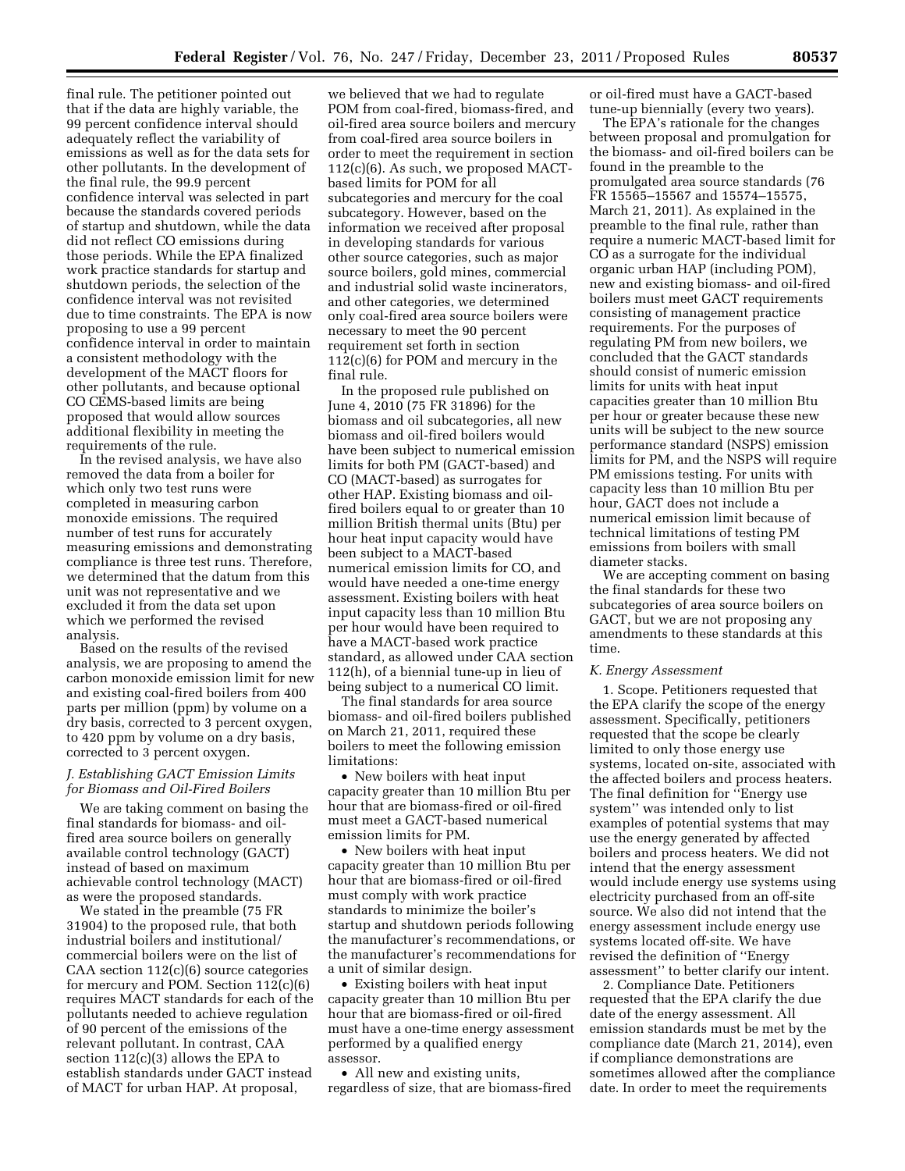final rule. The petitioner pointed out that if the data are highly variable, the 99 percent confidence interval should adequately reflect the variability of emissions as well as for the data sets for other pollutants. In the development of the final rule, the 99.9 percent confidence interval was selected in part because the standards covered periods of startup and shutdown, while the data did not reflect CO emissions during those periods. While the EPA finalized work practice standards for startup and shutdown periods, the selection of the confidence interval was not revisited due to time constraints. The EPA is now proposing to use a 99 percent confidence interval in order to maintain a consistent methodology with the development of the MACT floors for other pollutants, and because optional CO CEMS-based limits are being proposed that would allow sources additional flexibility in meeting the requirements of the rule.

In the revised analysis, we have also removed the data from a boiler for which only two test runs were completed in measuring carbon monoxide emissions. The required number of test runs for accurately measuring emissions and demonstrating compliance is three test runs. Therefore, we determined that the datum from this unit was not representative and we excluded it from the data set upon which we performed the revised analysis.

Based on the results of the revised analysis, we are proposing to amend the carbon monoxide emission limit for new and existing coal-fired boilers from 400 parts per million (ppm) by volume on a dry basis, corrected to 3 percent oxygen, to 420 ppm by volume on a dry basis, corrected to 3 percent oxygen.

## *J. Establishing GACT Emission Limits for Biomass and Oil-Fired Boilers*

We are taking comment on basing the final standards for biomass- and oilfired area source boilers on generally available control technology (GACT) instead of based on maximum achievable control technology (MACT) as were the proposed standards.

We stated in the preamble (75 FR 31904) to the proposed rule, that both industrial boilers and institutional/ commercial boilers were on the list of CAA section 112(c)(6) source categories for mercury and POM. Section 112(c)(6) requires MACT standards for each of the pollutants needed to achieve regulation of 90 percent of the emissions of the relevant pollutant. In contrast, CAA section 112(c)(3) allows the EPA to establish standards under GACT instead of MACT for urban HAP. At proposal,

we believed that we had to regulate POM from coal-fired, biomass-fired, and oil-fired area source boilers and mercury from coal-fired area source boilers in order to meet the requirement in section 112(c)(6). As such, we proposed MACTbased limits for POM for all subcategories and mercury for the coal subcategory. However, based on the information we received after proposal in developing standards for various other source categories, such as major source boilers, gold mines, commercial and industrial solid waste incinerators, and other categories, we determined only coal-fired area source boilers were necessary to meet the 90 percent requirement set forth in section 112(c)(6) for POM and mercury in the final rule.

In the proposed rule published on June 4, 2010 (75 FR 31896) for the biomass and oil subcategories, all new biomass and oil-fired boilers would have been subject to numerical emission limits for both PM (GACT-based) and CO (MACT-based) as surrogates for other HAP. Existing biomass and oilfired boilers equal to or greater than 10 million British thermal units (Btu) per hour heat input capacity would have been subject to a MACT-based numerical emission limits for CO, and would have needed a one-time energy assessment. Existing boilers with heat input capacity less than 10 million Btu per hour would have been required to have a MACT-based work practice standard, as allowed under CAA section 112(h), of a biennial tune-up in lieu of being subject to a numerical CO limit.

The final standards for area source biomass- and oil-fired boilers published on March 21, 2011, required these boilers to meet the following emission limitations:

• New boilers with heat input capacity greater than 10 million Btu per hour that are biomass-fired or oil-fired must meet a GACT-based numerical emission limits for PM.

• New boilers with heat input capacity greater than 10 million Btu per hour that are biomass-fired or oil-fired must comply with work practice standards to minimize the boiler's startup and shutdown periods following the manufacturer's recommendations, or the manufacturer's recommendations for a unit of similar design.

• Existing boilers with heat input capacity greater than 10 million Btu per hour that are biomass-fired or oil-fired must have a one-time energy assessment performed by a qualified energy assessor.

• All new and existing units, regardless of size, that are biomass-fired or oil-fired must have a GACT-based tune-up biennially (every two years).

The EPA's rationale for the changes between proposal and promulgation for the biomass- and oil-fired boilers can be found in the preamble to the promulgated area source standards (76 FR 15565–15567 and 15574–15575, March 21, 2011). As explained in the preamble to the final rule, rather than require a numeric MACT-based limit for CO as a surrogate for the individual organic urban HAP (including POM), new and existing biomass- and oil-fired boilers must meet GACT requirements consisting of management practice requirements. For the purposes of regulating PM from new boilers, we concluded that the GACT standards should consist of numeric emission limits for units with heat input capacities greater than 10 million Btu per hour or greater because these new units will be subject to the new source performance standard (NSPS) emission limits for PM, and the NSPS will require PM emissions testing. For units with capacity less than 10 million Btu per hour, GACT does not include a numerical emission limit because of technical limitations of testing PM emissions from boilers with small diameter stacks.

We are accepting comment on basing the final standards for these two subcategories of area source boilers on GACT, but we are not proposing any amendments to these standards at this time.

#### *K. Energy Assessment*

1. Scope. Petitioners requested that the EPA clarify the scope of the energy assessment. Specifically, petitioners requested that the scope be clearly limited to only those energy use systems, located on-site, associated with the affected boilers and process heaters. The final definition for ''Energy use system'' was intended only to list examples of potential systems that may use the energy generated by affected boilers and process heaters. We did not intend that the energy assessment would include energy use systems using electricity purchased from an off-site source. We also did not intend that the energy assessment include energy use systems located off-site. We have revised the definition of ''Energy assessment'' to better clarify our intent.

2. Compliance Date. Petitioners requested that the EPA clarify the due date of the energy assessment. All emission standards must be met by the compliance date (March 21, 2014), even if compliance demonstrations are sometimes allowed after the compliance date. In order to meet the requirements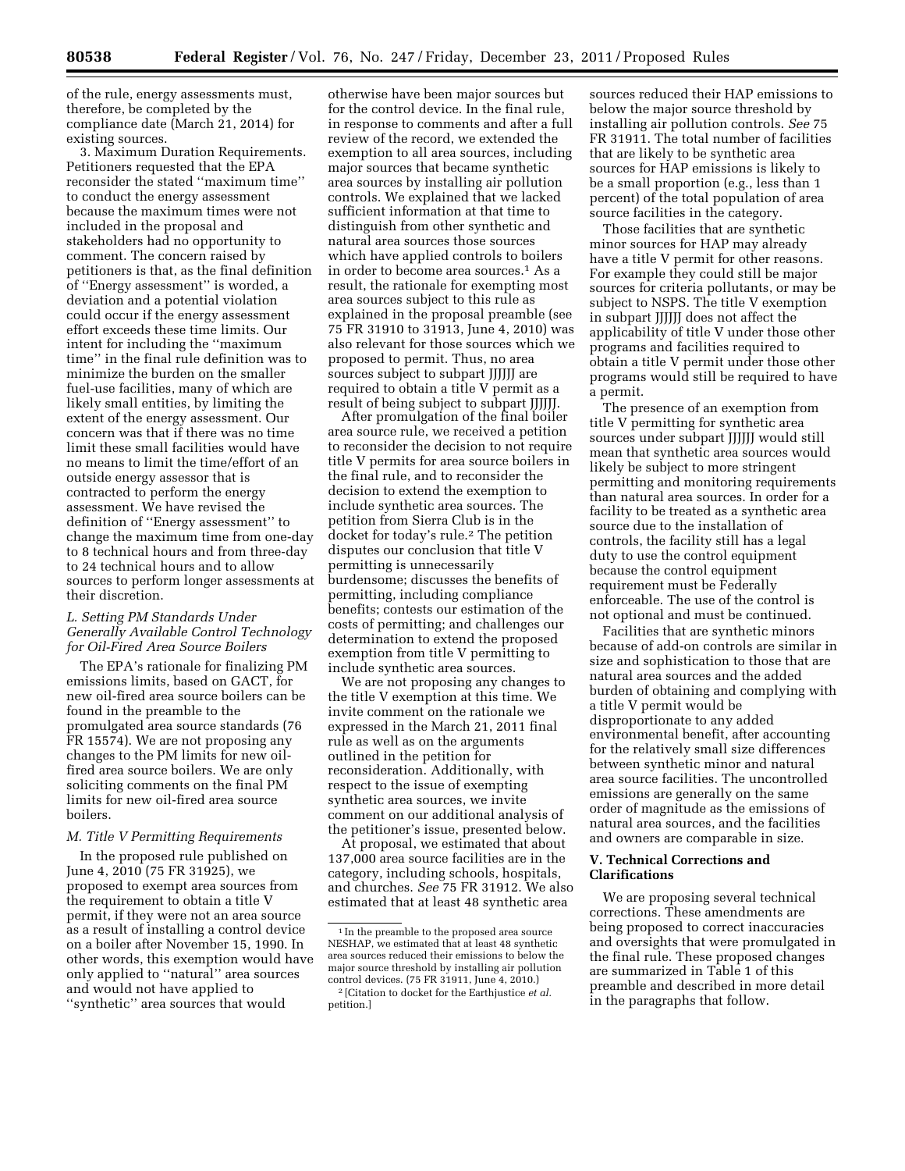of the rule, energy assessments must, therefore, be completed by the compliance date (March 21, 2014) for existing sources.

3. Maximum Duration Requirements. Petitioners requested that the EPA reconsider the stated ''maximum time'' to conduct the energy assessment because the maximum times were not included in the proposal and stakeholders had no opportunity to comment. The concern raised by petitioners is that, as the final definition of ''Energy assessment'' is worded, a deviation and a potential violation could occur if the energy assessment effort exceeds these time limits. Our intent for including the ''maximum time'' in the final rule definition was to minimize the burden on the smaller fuel-use facilities, many of which are likely small entities, by limiting the extent of the energy assessment. Our concern was that if there was no time limit these small facilities would have no means to limit the time/effort of an outside energy assessor that is contracted to perform the energy assessment. We have revised the definition of ''Energy assessment'' to change the maximum time from one-day to 8 technical hours and from three-day to 24 technical hours and to allow sources to perform longer assessments at their discretion.

# *L. Setting PM Standards Under Generally Available Control Technology for Oil-Fired Area Source Boilers*

The EPA's rationale for finalizing PM emissions limits, based on GACT, for new oil-fired area source boilers can be found in the preamble to the promulgated area source standards (76 FR 15574). We are not proposing any changes to the PM limits for new oilfired area source boilers. We are only soliciting comments on the final PM limits for new oil-fired area source boilers.

# *M. Title V Permitting Requirements*

In the proposed rule published on June 4, 2010 (75 FR 31925), we proposed to exempt area sources from the requirement to obtain a title V permit, if they were not an area source as a result of installing a control device on a boiler after November 15, 1990. In other words, this exemption would have only applied to ''natural'' area sources and would not have applied to ''synthetic'' area sources that would

otherwise have been major sources but for the control device. In the final rule, in response to comments and after a full review of the record, we extended the exemption to all area sources, including major sources that became synthetic area sources by installing air pollution controls. We explained that we lacked sufficient information at that time to distinguish from other synthetic and natural area sources those sources which have applied controls to boilers in order to become area sources.1 As a result, the rationale for exempting most area sources subject to this rule as explained in the proposal preamble (see 75 FR 31910 to 31913, June 4, 2010) was also relevant for those sources which we proposed to permit. Thus, no area sources subject to subpart JJJJJJ are required to obtain a title V permit as a result of being subject to subpart JJJJJJ.

After promulgation of the final boiler area source rule, we received a petition to reconsider the decision to not require title V permits for area source boilers in the final rule, and to reconsider the decision to extend the exemption to include synthetic area sources. The petition from Sierra Club is in the docket for today's rule.2 The petition disputes our conclusion that title V permitting is unnecessarily burdensome; discusses the benefits of permitting, including compliance benefits; contests our estimation of the costs of permitting; and challenges our determination to extend the proposed exemption from title V permitting to include synthetic area sources.

We are not proposing any changes to the title V exemption at this time. We invite comment on the rationale we expressed in the March 21, 2011 final rule as well as on the arguments outlined in the petition for reconsideration. Additionally, with respect to the issue of exempting synthetic area sources, we invite comment on our additional analysis of the petitioner's issue, presented below.

At proposal, we estimated that about 137,000 area source facilities are in the category, including schools, hospitals, and churches. *See* 75 FR 31912. We also estimated that at least 48 synthetic area

sources reduced their HAP emissions to below the major source threshold by installing air pollution controls. *See* 75 FR 31911. The total number of facilities that are likely to be synthetic area sources for HAP emissions is likely to be a small proportion (e.g., less than 1 percent) of the total population of area source facilities in the category.

Those facilities that are synthetic minor sources for HAP may already have a title V permit for other reasons. For example they could still be major sources for criteria pollutants, or may be subject to NSPS. The title V exemption in subpart JJJJJJ does not affect the applicability of title V under those other programs and facilities required to obtain a title V permit under those other programs would still be required to have a permit.

The presence of an exemption from title V permitting for synthetic area sources under subpart JJJJJJ would still mean that synthetic area sources would likely be subject to more stringent permitting and monitoring requirements than natural area sources. In order for a facility to be treated as a synthetic area source due to the installation of controls, the facility still has a legal duty to use the control equipment because the control equipment requirement must be Federally enforceable. The use of the control is not optional and must be continued.

Facilities that are synthetic minors because of add-on controls are similar in size and sophistication to those that are natural area sources and the added burden of obtaining and complying with a title V permit would be disproportionate to any added environmental benefit, after accounting for the relatively small size differences between synthetic minor and natural area source facilities. The uncontrolled emissions are generally on the same order of magnitude as the emissions of natural area sources, and the facilities and owners are comparable in size.

### **V. Technical Corrections and Clarifications**

We are proposing several technical corrections. These amendments are being proposed to correct inaccuracies and oversights that were promulgated in the final rule. These proposed changes are summarized in Table 1 of this preamble and described in more detail in the paragraphs that follow.

<sup>&</sup>lt;sup>1</sup> In the preamble to the proposed area source NESHAP, we estimated that at least 48 synthetic area sources reduced their emissions to below the major source threshold by installing air pollution control devices. (75 FR 31911, June 4, 2010.)

<sup>2</sup> [Citation to docket for the Earthjustice *et al.*  petition.]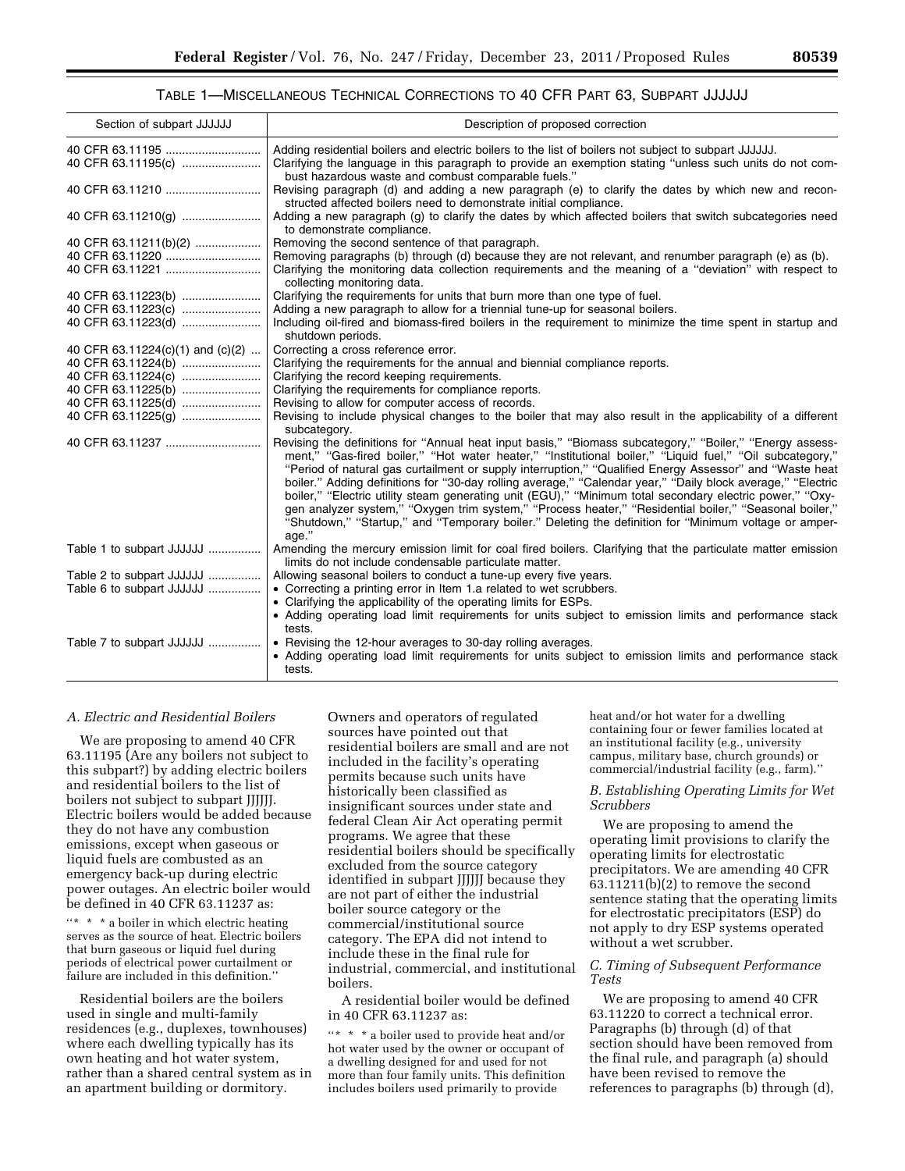## TABLE 1—MISCELLANEOUS TECHNICAL CORRECTIONS TO 40 CFR PART 63, SUBPART JJJJJJ

| Section of subpart JJJJJJ        | Description of proposed correction                                                                                                                                                                                                                                                                                                                                                                                                                                                                                                                                                                                                                                                                                                                                                     |
|----------------------------------|----------------------------------------------------------------------------------------------------------------------------------------------------------------------------------------------------------------------------------------------------------------------------------------------------------------------------------------------------------------------------------------------------------------------------------------------------------------------------------------------------------------------------------------------------------------------------------------------------------------------------------------------------------------------------------------------------------------------------------------------------------------------------------------|
|                                  | Adding residential boilers and electric boilers to the list of boilers not subject to subpart JJJJJJ.                                                                                                                                                                                                                                                                                                                                                                                                                                                                                                                                                                                                                                                                                  |
| 40 CFR 63.11195(c)               | Clarifying the language in this paragraph to provide an exemption stating "unless such units do not com-<br>bust hazardous waste and combust comparable fuels."                                                                                                                                                                                                                                                                                                                                                                                                                                                                                                                                                                                                                        |
|                                  | Revising paragraph (d) and adding a new paragraph (e) to clarify the dates by which new and recon-<br>structed affected boilers need to demonstrate initial compliance.                                                                                                                                                                                                                                                                                                                                                                                                                                                                                                                                                                                                                |
| 40 CFR 63.11210(g)               | Adding a new paragraph (g) to clarify the dates by which affected boilers that switch subcategories need<br>to demonstrate compliance.                                                                                                                                                                                                                                                                                                                                                                                                                                                                                                                                                                                                                                                 |
| 40 CFR 63.11211(b)(2)            | Removing the second sentence of that paragraph.                                                                                                                                                                                                                                                                                                                                                                                                                                                                                                                                                                                                                                                                                                                                        |
| 40 CFR 63.11220                  | Removing paragraphs (b) through (d) because they are not relevant, and renumber paragraph (e) as (b).                                                                                                                                                                                                                                                                                                                                                                                                                                                                                                                                                                                                                                                                                  |
|                                  | Clarifying the monitoring data collection requirements and the meaning of a "deviation" with respect to<br>collecting monitoring data.                                                                                                                                                                                                                                                                                                                                                                                                                                                                                                                                                                                                                                                 |
| 40 CFR 63.11223(b)               | Clarifying the requirements for units that burn more than one type of fuel.                                                                                                                                                                                                                                                                                                                                                                                                                                                                                                                                                                                                                                                                                                            |
| 40 CFR 63.11223(c)               | Adding a new paragraph to allow for a triennial tune-up for seasonal boilers.                                                                                                                                                                                                                                                                                                                                                                                                                                                                                                                                                                                                                                                                                                          |
| 40 CFR 63.11223(d)               | Including oil-fired and biomass-fired boilers in the requirement to minimize the time spent in startup and<br>shutdown periods.                                                                                                                                                                                                                                                                                                                                                                                                                                                                                                                                                                                                                                                        |
| 40 CFR 63.11224(c)(1) and (c)(2) | Correcting a cross reference error.                                                                                                                                                                                                                                                                                                                                                                                                                                                                                                                                                                                                                                                                                                                                                    |
|                                  | Clarifying the requirements for the annual and biennial compliance reports.                                                                                                                                                                                                                                                                                                                                                                                                                                                                                                                                                                                                                                                                                                            |
| 40 CFR 63.11224(c)               | Clarifying the record keeping requirements.                                                                                                                                                                                                                                                                                                                                                                                                                                                                                                                                                                                                                                                                                                                                            |
| 40 CFR 63.11225(b)               | Clarifying the requirements for compliance reports.                                                                                                                                                                                                                                                                                                                                                                                                                                                                                                                                                                                                                                                                                                                                    |
| 40 CFR 63.11225(d)               | Revising to allow for computer access of records.                                                                                                                                                                                                                                                                                                                                                                                                                                                                                                                                                                                                                                                                                                                                      |
| 40 CFR 63.11225(q)               | Revising to include physical changes to the boiler that may also result in the applicability of a different                                                                                                                                                                                                                                                                                                                                                                                                                                                                                                                                                                                                                                                                            |
|                                  | subcategory.                                                                                                                                                                                                                                                                                                                                                                                                                                                                                                                                                                                                                                                                                                                                                                           |
| 40 CFR 63.11237                  | Revising the definitions for "Annual heat input basis," "Biomass subcategory," "Boiler," "Energy assess-<br>ment," "Gas-fired boiler," "Hot water heater," "Institutional boiler," "Liquid fuel," "Oil subcategory,"<br>"Period of natural gas curtailment or supply interruption," "Qualified Energy Assessor" and "Waste heat<br>boiler." Adding definitions for "30-day rolling average," "Calendar year," "Daily block average," "Electric<br>boiler," "Electric utility steam generating unit (EGU)," "Minimum total secondary electric power," "Oxy-<br>gen analyzer system," "Oxygen trim system," "Process heater," "Residential boiler," "Seasonal boiler,"<br>"Shutdown," "Startup," and "Temporary boiler." Deleting the definition for "Minimum voltage or amper-<br>age." |
| Table 1 to subpart JJJJJJ        | Amending the mercury emission limit for coal fired boilers. Clarifying that the particulate matter emission<br>limits do not include condensable particulate matter.                                                                                                                                                                                                                                                                                                                                                                                                                                                                                                                                                                                                                   |
| Table 2 to subpart JJJJJJ        | Allowing seasonal boilers to conduct a tune-up every five years.                                                                                                                                                                                                                                                                                                                                                                                                                                                                                                                                                                                                                                                                                                                       |
| Table 6 to subpart JJJJJJ        | • Correcting a printing error in Item 1.a related to wet scrubbers.                                                                                                                                                                                                                                                                                                                                                                                                                                                                                                                                                                                                                                                                                                                    |
|                                  | • Clarifying the applicability of the operating limits for ESPs.                                                                                                                                                                                                                                                                                                                                                                                                                                                                                                                                                                                                                                                                                                                       |
|                                  | • Adding operating load limit requirements for units subject to emission limits and performance stack<br>tests.                                                                                                                                                                                                                                                                                                                                                                                                                                                                                                                                                                                                                                                                        |
| Table 7 to subpart JJJJJJ        | • Revising the 12-hour averages to 30-day rolling averages.                                                                                                                                                                                                                                                                                                                                                                                                                                                                                                                                                                                                                                                                                                                            |
|                                  | • Adding operating load limit requirements for units subject to emission limits and performance stack<br>tests.                                                                                                                                                                                                                                                                                                                                                                                                                                                                                                                                                                                                                                                                        |

#### *A. Electric and Residential Boilers*

We are proposing to amend 40 CFR 63.11195 (Are any boilers not subject to this subpart?) by adding electric boilers and residential boilers to the list of boilers not subject to subpart JJJJJJ. Electric boilers would be added because they do not have any combustion emissions, except when gaseous or liquid fuels are combusted as an emergency back-up during electric power outages. An electric boiler would be defined in 40 CFR 63.11237 as:

''\* \* \* a boiler in which electric heating serves as the source of heat. Electric boilers that burn gaseous or liquid fuel during periods of electrical power curtailment or failure are included in this definition.''

Residential boilers are the boilers used in single and multi-family residences (e.g., duplexes, townhouses) where each dwelling typically has its own heating and hot water system, rather than a shared central system as in an apartment building or dormitory.

Owners and operators of regulated sources have pointed out that residential boilers are small and are not included in the facility's operating permits because such units have historically been classified as insignificant sources under state and federal Clean Air Act operating permit programs. We agree that these residential boilers should be specifically excluded from the source category identified in subpart JJJJJJ because they are not part of either the industrial boiler source category or the commercial/institutional source category. The EPA did not intend to include these in the final rule for industrial, commercial, and institutional boilers.

A residential boiler would be defined in 40 CFR 63.11237 as:

''\* \* \* a boiler used to provide heat and/or hot water used by the owner or occupant of a dwelling designed for and used for not more than four family units. This definition includes boilers used primarily to provide

heat and/or hot water for a dwelling containing four or fewer families located at an institutional facility (e.g., university campus, military base, church grounds) or commercial/industrial facility (e.g., farm).''

#### *B. Establishing Operating Limits for Wet Scrubbers*

We are proposing to amend the operating limit provisions to clarify the operating limits for electrostatic precipitators. We are amending 40 CFR 63.11211(b)(2) to remove the second sentence stating that the operating limits for electrostatic precipitators (ESP) do not apply to dry ESP systems operated without a wet scrubber.

## *C. Timing of Subsequent Performance Tests*

We are proposing to amend 40 CFR 63.11220 to correct a technical error. Paragraphs (b) through (d) of that section should have been removed from the final rule, and paragraph (a) should have been revised to remove the references to paragraphs (b) through (d),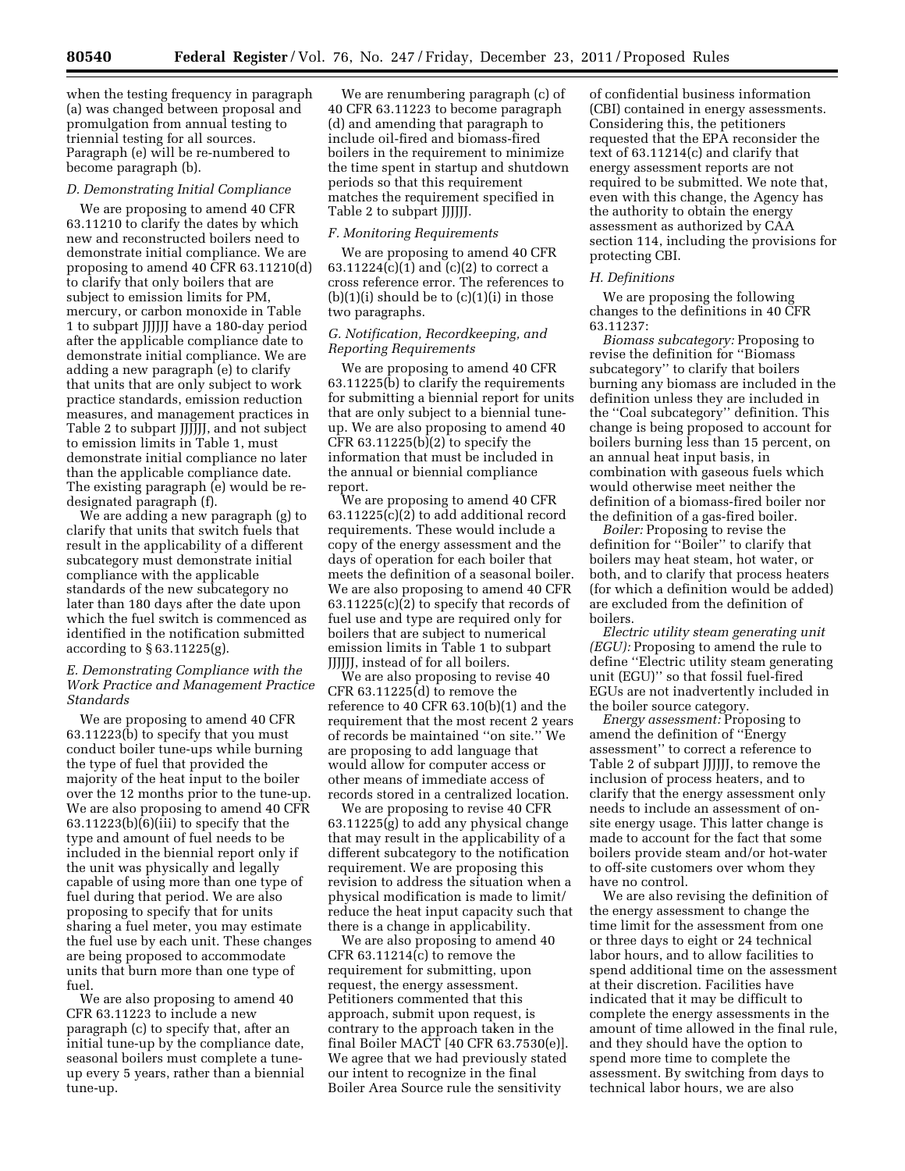when the testing frequency in paragraph (a) was changed between proposal and promulgation from annual testing to triennial testing for all sources. Paragraph (e) will be re-numbered to become paragraph (b).

#### *D. Demonstrating Initial Compliance*

We are proposing to amend 40 CFR 63.11210 to clarify the dates by which new and reconstructed boilers need to demonstrate initial compliance. We are proposing to amend 40 CFR 63.11210(d) to clarify that only boilers that are subject to emission limits for PM, mercury, or carbon monoxide in Table 1 to subpart JJJJJJ have a 180-day period after the applicable compliance date to demonstrate initial compliance. We are adding a new paragraph (e) to clarify that units that are only subject to work practice standards, emission reduction measures, and management practices in Table 2 to subpart JJJJJJ, and not subject to emission limits in Table 1, must demonstrate initial compliance no later than the applicable compliance date. The existing paragraph (e) would be redesignated paragraph (f).

We are adding a new paragraph (g) to clarify that units that switch fuels that result in the applicability of a different subcategory must demonstrate initial compliance with the applicable standards of the new subcategory no later than 180 days after the date upon which the fuel switch is commenced as identified in the notification submitted according to § 63.11225(g).

## *E. Demonstrating Compliance with the Work Practice and Management Practice Standards*

We are proposing to amend 40 CFR 63.11223(b) to specify that you must conduct boiler tune-ups while burning the type of fuel that provided the majority of the heat input to the boiler over the 12 months prior to the tune-up. We are also proposing to amend 40 CFR  $63.11223(b)(6)(iii)$  to specify that the type and amount of fuel needs to be included in the biennial report only if the unit was physically and legally capable of using more than one type of fuel during that period. We are also proposing to specify that for units sharing a fuel meter, you may estimate the fuel use by each unit. These changes are being proposed to accommodate units that burn more than one type of fuel.

We are also proposing to amend 40 CFR 63.11223 to include a new paragraph (c) to specify that, after an initial tune-up by the compliance date, seasonal boilers must complete a tuneup every 5 years, rather than a biennial tune-up.

We are renumbering paragraph (c) of 40 CFR 63.11223 to become paragraph (d) and amending that paragraph to include oil-fired and biomass-fired boilers in the requirement to minimize the time spent in startup and shutdown periods so that this requirement matches the requirement specified in Table 2 to subpart JJJJJJ.

#### *F. Monitoring Requirements*

We are proposing to amend 40 CFR 63.11224(c)(1) and (c)(2) to correct a cross reference error. The references to  $(b)(1)(i)$  should be to  $(c)(1)(i)$  in those two paragraphs.

## *G. Notification, Recordkeeping, and Reporting Requirements*

We are proposing to amend 40 CFR  $63.11225(b)$  to clarify the requirements for submitting a biennial report for units that are only subject to a biennial tuneup. We are also proposing to amend 40 CFR  $63.11225(b)(2)$  to specify the information that must be included in the annual or biennial compliance report.

We are proposing to amend 40 CFR 63.11225(c)(2) to add additional record requirements. These would include a copy of the energy assessment and the days of operation for each boiler that meets the definition of a seasonal boiler. We are also proposing to amend 40 CFR 63.11225(c)(2) to specify that records of fuel use and type are required only for boilers that are subject to numerical emission limits in Table 1 to subpart JJJJJJ, instead of for all boilers.

We are also proposing to revise 40 CFR 63.11225(d) to remove the reference to 40 CFR 63.10(b)(1) and the requirement that the most recent 2 years of records be maintained ''on site.'' We are proposing to add language that would allow for computer access or other means of immediate access of records stored in a centralized location.

We are proposing to revise 40 CFR 63.11225(g) to add any physical change that may result in the applicability of a different subcategory to the notification requirement. We are proposing this revision to address the situation when a physical modification is made to limit/ reduce the heat input capacity such that there is a change in applicability.

We are also proposing to amend 40 CFR 63.11214(c) to remove the requirement for submitting, upon request, the energy assessment. Petitioners commented that this approach, submit upon request, is contrary to the approach taken in the final Boiler MACT [40 CFR 63.7530(e)]. We agree that we had previously stated our intent to recognize in the final Boiler Area Source rule the sensitivity

of confidential business information (CBI) contained in energy assessments. Considering this, the petitioners requested that the EPA reconsider the text of 63.11214(c) and clarify that energy assessment reports are not required to be submitted. We note that, even with this change, the Agency has the authority to obtain the energy assessment as authorized by CAA section 114, including the provisions for protecting CBI.

#### *H. Definitions*

We are proposing the following changes to the definitions in 40 CFR 63.11237:

*Biomass subcategory:* Proposing to revise the definition for ''Biomass subcategory'' to clarify that boilers burning any biomass are included in the definition unless they are included in the ''Coal subcategory'' definition. This change is being proposed to account for boilers burning less than 15 percent, on an annual heat input basis, in combination with gaseous fuels which would otherwise meet neither the definition of a biomass-fired boiler nor the definition of a gas-fired boiler.

*Boiler:* Proposing to revise the definition for ''Boiler'' to clarify that boilers may heat steam, hot water, or both, and to clarify that process heaters (for which a definition would be added) are excluded from the definition of boilers.

*Electric utility steam generating unit (EGU):* Proposing to amend the rule to define ''Electric utility steam generating unit (EGU)'' so that fossil fuel-fired EGUs are not inadvertently included in the boiler source category.

*Energy assessment:* Proposing to amend the definition of ''Energy assessment'' to correct a reference to Table 2 of subpart JJJJJJ, to remove the inclusion of process heaters, and to clarify that the energy assessment only needs to include an assessment of onsite energy usage. This latter change is made to account for the fact that some boilers provide steam and/or hot-water to off-site customers over whom they have no control.

We are also revising the definition of the energy assessment to change the time limit for the assessment from one or three days to eight or 24 technical labor hours, and to allow facilities to spend additional time on the assessment at their discretion. Facilities have indicated that it may be difficult to complete the energy assessments in the amount of time allowed in the final rule, and they should have the option to spend more time to complete the assessment. By switching from days to technical labor hours, we are also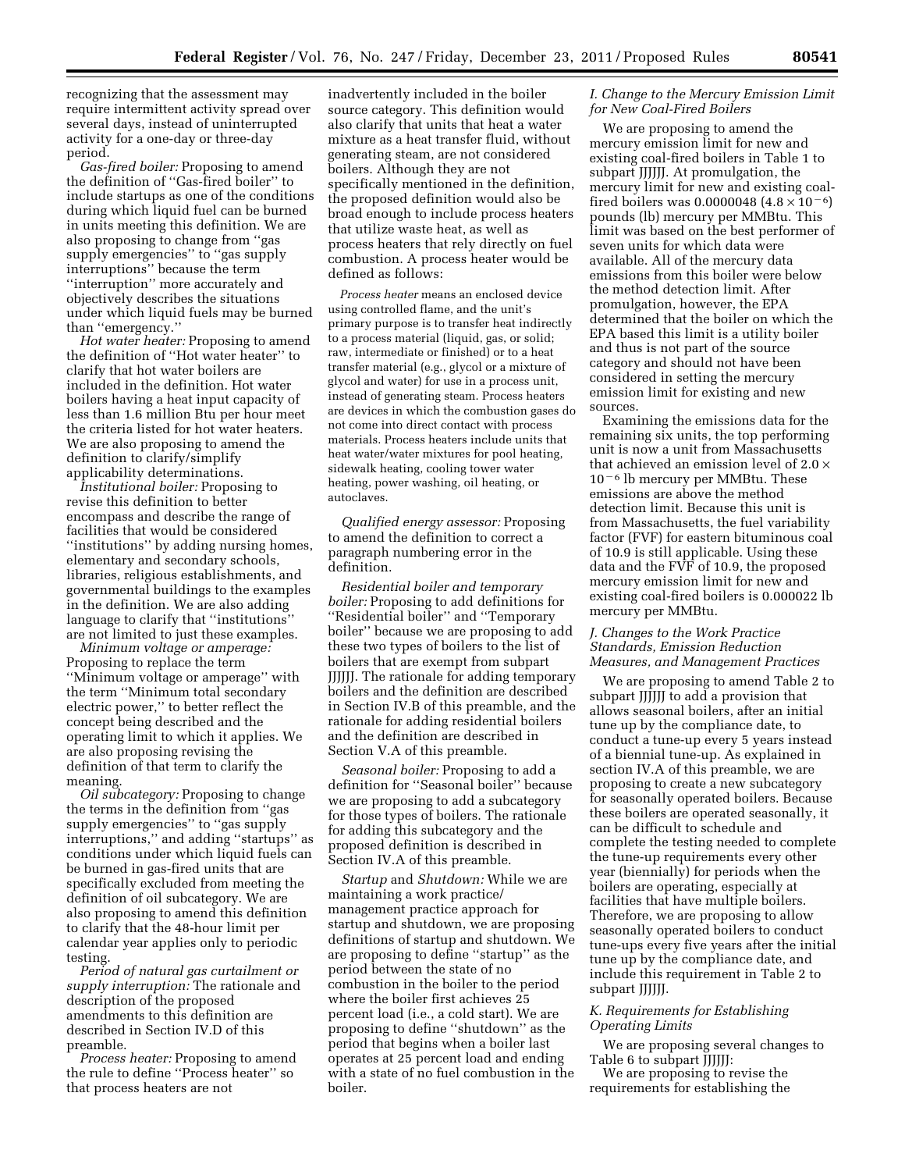recognizing that the assessment may require intermittent activity spread over several days, instead of uninterrupted activity for a one-day or three-day period.

*Gas-fired boiler:* Proposing to amend the definition of ''Gas-fired boiler'' to include startups as one of the conditions during which liquid fuel can be burned in units meeting this definition. We are also proposing to change from ''gas supply emergencies'' to ''gas supply interruptions'' because the term ''interruption'' more accurately and objectively describes the situations under which liquid fuels may be burned than ''emergency.''

*Hot water heater:* Proposing to amend the definition of ''Hot water heater'' to clarify that hot water boilers are included in the definition. Hot water boilers having a heat input capacity of less than 1.6 million Btu per hour meet the criteria listed for hot water heaters. We are also proposing to amend the definition to clarify/simplify applicability determinations.

*Institutional boiler:* Proposing to revise this definition to better encompass and describe the range of facilities that would be considered ''institutions'' by adding nursing homes, elementary and secondary schools, libraries, religious establishments, and governmental buildings to the examples in the definition. We are also adding language to clarify that ''institutions'' are not limited to just these examples.

*Minimum voltage or amperage:*  Proposing to replace the term ''Minimum voltage or amperage'' with the term ''Minimum total secondary electric power,'' to better reflect the concept being described and the operating limit to which it applies. We are also proposing revising the definition of that term to clarify the meaning.

*Oil subcategory:* Proposing to change the terms in the definition from ''gas supply emergencies'' to ''gas supply interruptions,'' and adding ''startups'' as conditions under which liquid fuels can be burned in gas-fired units that are specifically excluded from meeting the definition of oil subcategory. We are also proposing to amend this definition to clarify that the 48-hour limit per calendar year applies only to periodic testing.

*Period of natural gas curtailment or supply interruption:* The rationale and description of the proposed amendments to this definition are described in Section IV.D of this preamble.

*Process heater:* Proposing to amend the rule to define ''Process heater'' so that process heaters are not

inadvertently included in the boiler source category. This definition would also clarify that units that heat a water mixture as a heat transfer fluid, without generating steam, are not considered boilers. Although they are not specifically mentioned in the definition, the proposed definition would also be broad enough to include process heaters that utilize waste heat, as well as process heaters that rely directly on fuel combustion. A process heater would be defined as follows:

*Process heater* means an enclosed device using controlled flame, and the unit's primary purpose is to transfer heat indirectly to a process material (liquid, gas, or solid; raw, intermediate or finished) or to a heat transfer material (e.g., glycol or a mixture of glycol and water) for use in a process unit, instead of generating steam. Process heaters are devices in which the combustion gases do not come into direct contact with process materials. Process heaters include units that heat water/water mixtures for pool heating, sidewalk heating, cooling tower water heating, power washing, oil heating, or autoclaves.

*Qualified energy assessor:* Proposing to amend the definition to correct a paragraph numbering error in the definition.

*Residential boiler and temporary boiler:* Proposing to add definitions for ''Residential boiler'' and ''Temporary boiler'' because we are proposing to add these two types of boilers to the list of boilers that are exempt from subpart JJJJJJ. The rationale for adding temporary boilers and the definition are described in Section IV.B of this preamble, and the rationale for adding residential boilers and the definition are described in Section V.A of this preamble.

*Seasonal boiler:* Proposing to add a definition for ''Seasonal boiler'' because we are proposing to add a subcategory for those types of boilers. The rationale for adding this subcategory and the proposed definition is described in Section IV.A of this preamble.

*Startup* and *Shutdown:* While we are maintaining a work practice/ management practice approach for startup and shutdown, we are proposing definitions of startup and shutdown. We are proposing to define ''startup'' as the period between the state of no combustion in the boiler to the period where the boiler first achieves 25 percent load (i.e., a cold start). We are proposing to define ''shutdown'' as the period that begins when a boiler last operates at 25 percent load and ending with a state of no fuel combustion in the boiler.

## *I. Change to the Mercury Emission Limit for New Coal-Fired Boilers*

We are proposing to amend the mercury emission limit for new and existing coal-fired boilers in Table 1 to subpart JJJJJJ. At promulgation, the mercury limit for new and existing coalfired boilers was 0.0000048  $(4.8 \times 10^{-6})$ pounds (lb) mercury per MMBtu. This limit was based on the best performer of seven units for which data were available. All of the mercury data emissions from this boiler were below the method detection limit. After promulgation, however, the EPA determined that the boiler on which the EPA based this limit is a utility boiler and thus is not part of the source category and should not have been considered in setting the mercury emission limit for existing and new sources.

Examining the emissions data for the remaining six units, the top performing unit is now a unit from Massachusetts that achieved an emission level of  $2.0 \times$  $10<sup>-6</sup>$  lb mercury per MMBtu. These emissions are above the method detection limit. Because this unit is from Massachusetts, the fuel variability factor (FVF) for eastern bituminous coal of 10.9 is still applicable. Using these data and the FVF of 10.9, the proposed mercury emission limit for new and existing coal-fired boilers is 0.000022 lb mercury per MMBtu.

### *J. Changes to the Work Practice Standards, Emission Reduction Measures, and Management Practices*

We are proposing to amend Table 2 to subpart JJJJJJ to add a provision that allows seasonal boilers, after an initial tune up by the compliance date, to conduct a tune-up every 5 years instead of a biennial tune-up. As explained in section IV.A of this preamble, we are proposing to create a new subcategory for seasonally operated boilers. Because these boilers are operated seasonally, it can be difficult to schedule and complete the testing needed to complete the tune-up requirements every other year (biennially) for periods when the boilers are operating, especially at facilities that have multiple boilers. Therefore, we are proposing to allow seasonally operated boilers to conduct tune-ups every five years after the initial tune up by the compliance date, and include this requirement in Table 2 to subpart JJJJJJ.

## *K. Requirements for Establishing Operating Limits*

We are proposing several changes to Table 6 to subpart JJJJJJ:

We are proposing to revise the requirements for establishing the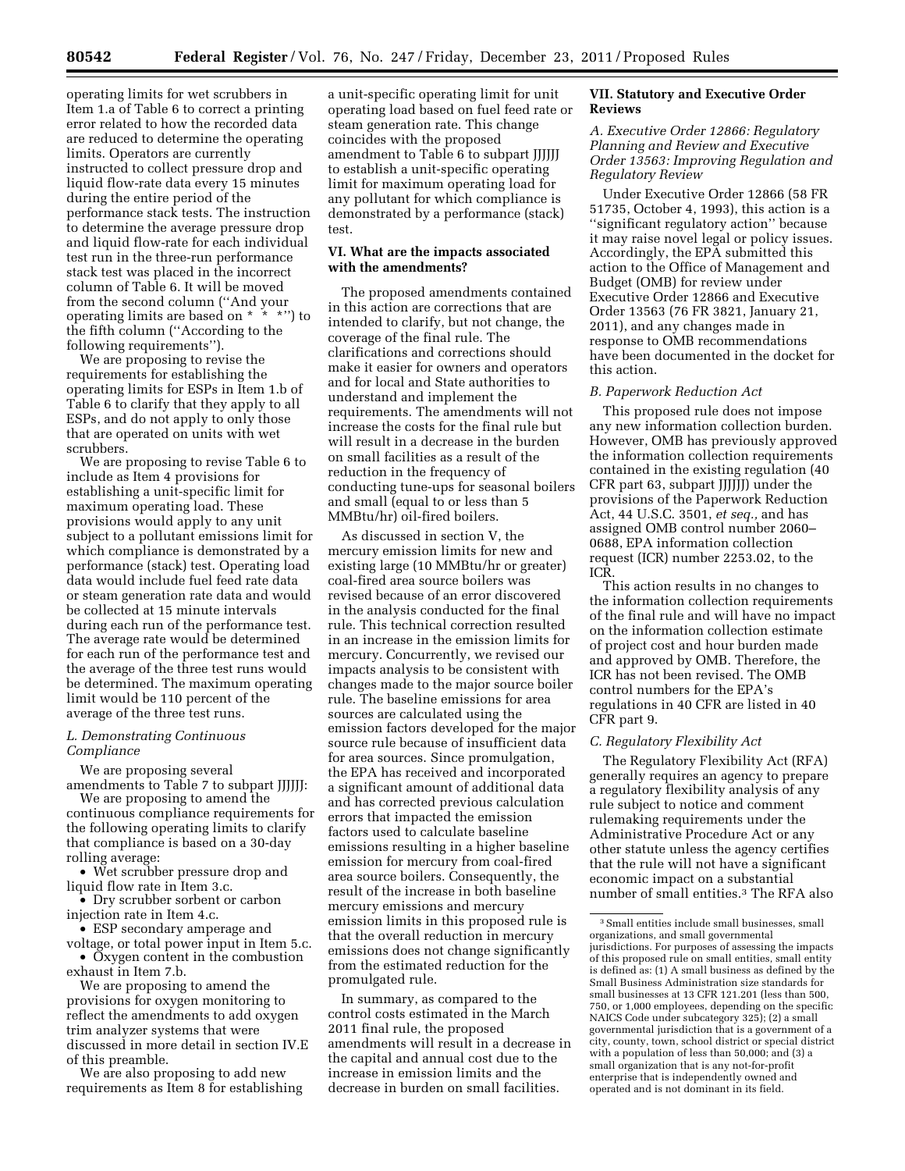operating limits for wet scrubbers in Item 1.a of Table 6 to correct a printing error related to how the recorded data are reduced to determine the operating limits. Operators are currently instructed to collect pressure drop and liquid flow-rate data every 15 minutes during the entire period of the performance stack tests. The instruction to determine the average pressure drop and liquid flow-rate for each individual test run in the three-run performance stack test was placed in the incorrect column of Table 6. It will be moved from the second column (''And your operating limits are based on \* \* \*'') to the fifth column (''According to the following requirements'').

We are proposing to revise the requirements for establishing the operating limits for ESPs in Item 1.b of Table 6 to clarify that they apply to all ESPs, and do not apply to only those that are operated on units with wet scrubbers.

We are proposing to revise Table 6 to include as Item 4 provisions for establishing a unit-specific limit for maximum operating load. These provisions would apply to any unit subject to a pollutant emissions limit for which compliance is demonstrated by a performance (stack) test. Operating load data would include fuel feed rate data or steam generation rate data and would be collected at 15 minute intervals during each run of the performance test. The average rate would be determined for each run of the performance test and the average of the three test runs would be determined. The maximum operating limit would be 110 percent of the average of the three test runs.

## *L. Demonstrating Continuous Compliance*

We are proposing several amendments to Table 7 to subpart JJJJJJ:

We are proposing to amend the continuous compliance requirements for the following operating limits to clarify that compliance is based on a 30-day rolling average:

• Wet scrubber pressure drop and liquid flow rate in Item 3.c.

• Dry scrubber sorbent or carbon injection rate in Item 4.c.

• ESP secondary amperage and voltage, or total power input in Item 5.c.

• Oxygen content in the combustion exhaust in Item 7.b.

We are proposing to amend the provisions for oxygen monitoring to reflect the amendments to add oxygen trim analyzer systems that were discussed in more detail in section IV.E of this preamble.

We are also proposing to add new requirements as Item 8 for establishing

a unit-specific operating limit for unit operating load based on fuel feed rate or steam generation rate. This change coincides with the proposed amendment to Table 6 to subpart JJJJJJ to establish a unit-specific operating limit for maximum operating load for any pollutant for which compliance is demonstrated by a performance (stack) test.

## **VI. What are the impacts associated with the amendments?**

The proposed amendments contained in this action are corrections that are intended to clarify, but not change, the coverage of the final rule. The clarifications and corrections should make it easier for owners and operators and for local and State authorities to understand and implement the requirements. The amendments will not increase the costs for the final rule but will result in a decrease in the burden on small facilities as a result of the reduction in the frequency of conducting tune-ups for seasonal boilers and small (equal to or less than 5 MMBtu/hr) oil-fired boilers.

As discussed in section V, the mercury emission limits for new and existing large (10 MMBtu/hr or greater) coal-fired area source boilers was revised because of an error discovered in the analysis conducted for the final rule. This technical correction resulted in an increase in the emission limits for mercury. Concurrently, we revised our impacts analysis to be consistent with changes made to the major source boiler rule. The baseline emissions for area sources are calculated using the emission factors developed for the major source rule because of insufficient data for area sources. Since promulgation, the EPA has received and incorporated a significant amount of additional data and has corrected previous calculation errors that impacted the emission factors used to calculate baseline emissions resulting in a higher baseline emission for mercury from coal-fired area source boilers. Consequently, the result of the increase in both baseline mercury emissions and mercury emission limits in this proposed rule is that the overall reduction in mercury emissions does not change significantly from the estimated reduction for the promulgated rule.

In summary, as compared to the control costs estimated in the March 2011 final rule, the proposed amendments will result in a decrease in the capital and annual cost due to the increase in emission limits and the decrease in burden on small facilities.

## **VII. Statutory and Executive Order Reviews**

*A. Executive Order 12866: Regulatory Planning and Review and Executive Order 13563: Improving Regulation and Regulatory Review* 

Under Executive Order 12866 (58 FR 51735, October 4, 1993), this action is a ''significant regulatory action'' because it may raise novel legal or policy issues. Accordingly, the EPA submitted this action to the Office of Management and Budget (OMB) for review under Executive Order 12866 and Executive Order 13563 (76 FR 3821, January 21, 2011), and any changes made in response to OMB recommendations have been documented in the docket for this action.

#### *B. Paperwork Reduction Act*

This proposed rule does not impose any new information collection burden. However, OMB has previously approved the information collection requirements contained in the existing regulation (40 CFR part 63, subpart JJJJJJ) under the provisions of the Paperwork Reduction Act, 44 U.S.C. 3501, *et seq.,* and has assigned OMB control number 2060– 0688, EPA information collection request (ICR) number 2253.02, to the ICR.

This action results in no changes to the information collection requirements of the final rule and will have no impact on the information collection estimate of project cost and hour burden made and approved by OMB. Therefore, the ICR has not been revised. The OMB control numbers for the EPA's regulations in 40 CFR are listed in 40 CFR part 9.

#### *C. Regulatory Flexibility Act*

The Regulatory Flexibility Act (RFA) generally requires an agency to prepare a regulatory flexibility analysis of any rule subject to notice and comment rulemaking requirements under the Administrative Procedure Act or any other statute unless the agency certifies that the rule will not have a significant economic impact on a substantial number of small entities.3 The RFA also

<sup>3</sup>Small entities include small businesses, small organizations, and small governmental jurisdictions. For purposes of assessing the impacts of this proposed rule on small entities, small entity is defined as: (1) A small business as defined by the Small Business Administration size standards for small businesses at 13 CFR 121.201 (less than 500, 750, or 1,000 employees, depending on the specific NAICS Code under subcategory 325); (2) a small governmental jurisdiction that is a government of a city, county, town, school district or special district with a population of less than 50,000; and (3) a small organization that is any not-for-profit enterprise that is independently owned and operated and is not dominant in its field.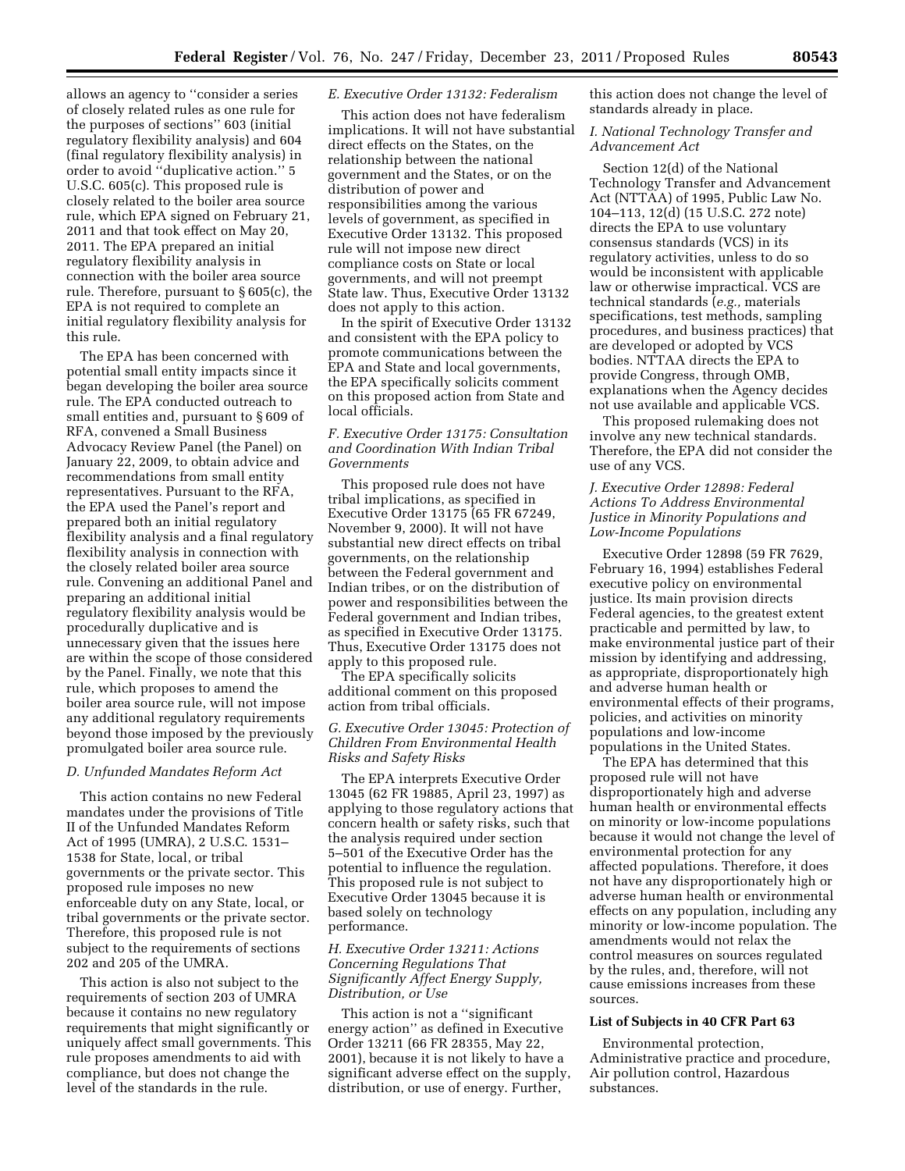allows an agency to ''consider a series of closely related rules as one rule for the purposes of sections'' 603 (initial regulatory flexibility analysis) and 604 (final regulatory flexibility analysis) in order to avoid ''duplicative action.'' 5 U.S.C. 605(c). This proposed rule is closely related to the boiler area source rule, which EPA signed on February 21, 2011 and that took effect on May 20, 2011. The EPA prepared an initial regulatory flexibility analysis in connection with the boiler area source rule. Therefore, pursuant to § 605(c), the EPA is not required to complete an initial regulatory flexibility analysis for this rule.

The EPA has been concerned with potential small entity impacts since it began developing the boiler area source rule. The EPA conducted outreach to small entities and, pursuant to § 609 of RFA, convened a Small Business Advocacy Review Panel (the Panel) on January 22, 2009, to obtain advice and recommendations from small entity representatives. Pursuant to the RFA, the EPA used the Panel's report and prepared both an initial regulatory flexibility analysis and a final regulatory flexibility analysis in connection with the closely related boiler area source rule. Convening an additional Panel and preparing an additional initial regulatory flexibility analysis would be procedurally duplicative and is unnecessary given that the issues here are within the scope of those considered by the Panel. Finally, we note that this rule, which proposes to amend the boiler area source rule, will not impose any additional regulatory requirements beyond those imposed by the previously promulgated boiler area source rule.

#### *D. Unfunded Mandates Reform Act*

This action contains no new Federal mandates under the provisions of Title II of the Unfunded Mandates Reform Act of 1995 (UMRA), 2 U.S.C. 1531– 1538 for State, local, or tribal governments or the private sector. This proposed rule imposes no new enforceable duty on any State, local, or tribal governments or the private sector. Therefore, this proposed rule is not subject to the requirements of sections 202 and 205 of the UMRA.

This action is also not subject to the requirements of section 203 of UMRA because it contains no new regulatory requirements that might significantly or uniquely affect small governments. This rule proposes amendments to aid with compliance, but does not change the level of the standards in the rule.

## *E. Executive Order 13132: Federalism*

This action does not have federalism implications. It will not have substantial direct effects on the States, on the relationship between the national government and the States, or on the distribution of power and responsibilities among the various levels of government, as specified in Executive Order 13132. This proposed rule will not impose new direct compliance costs on State or local governments, and will not preempt State law. Thus, Executive Order 13132 does not apply to this action.

In the spirit of Executive Order 13132 and consistent with the EPA policy to promote communications between the EPA and State and local governments, the EPA specifically solicits comment on this proposed action from State and local officials.

## *F. Executive Order 13175: Consultation and Coordination With Indian Tribal Governments*

This proposed rule does not have tribal implications, as specified in Executive Order 13175 (65 FR 67249, November 9, 2000). It will not have substantial new direct effects on tribal governments, on the relationship between the Federal government and Indian tribes, or on the distribution of power and responsibilities between the Federal government and Indian tribes, as specified in Executive Order 13175. Thus, Executive Order 13175 does not apply to this proposed rule.

The EPA specifically solicits additional comment on this proposed action from tribal officials.

## *G. Executive Order 13045: Protection of Children From Environmental Health Risks and Safety Risks*

The EPA interprets Executive Order 13045 (62 FR 19885, April 23, 1997) as applying to those regulatory actions that concern health or safety risks, such that the analysis required under section 5–501 of the Executive Order has the potential to influence the regulation. This proposed rule is not subject to Executive Order 13045 because it is based solely on technology performance.

## *H. Executive Order 13211: Actions Concerning Regulations That Significantly Affect Energy Supply, Distribution, or Use*

This action is not a ''significant energy action'' as defined in Executive Order 13211 (66 FR 28355, May 22, 2001), because it is not likely to have a significant adverse effect on the supply, distribution, or use of energy. Further,

this action does not change the level of standards already in place.

*I. National Technology Transfer and Advancement Act* 

Section 12(d) of the National Technology Transfer and Advancement Act (NTTAA) of 1995, Public Law No. 104–113, 12(d) (15 U.S.C. 272 note) directs the EPA to use voluntary consensus standards (VCS) in its regulatory activities, unless to do so would be inconsistent with applicable law or otherwise impractical. VCS are technical standards (*e.g.,* materials specifications, test methods, sampling procedures, and business practices) that are developed or adopted by VCS bodies. NTTAA directs the EPA to provide Congress, through OMB, explanations when the Agency decides not use available and applicable VCS.

This proposed rulemaking does not involve any new technical standards. Therefore, the EPA did not consider the use of any VCS.

## *J. Executive Order 12898: Federal Actions To Address Environmental Justice in Minority Populations and Low-Income Populations*

Executive Order 12898 (59 FR 7629, February 16, 1994) establishes Federal executive policy on environmental justice. Its main provision directs Federal agencies, to the greatest extent practicable and permitted by law, to make environmental justice part of their mission by identifying and addressing, as appropriate, disproportionately high and adverse human health or environmental effects of their programs, policies, and activities on minority populations and low-income populations in the United States.

The EPA has determined that this proposed rule will not have disproportionately high and adverse human health or environmental effects on minority or low-income populations because it would not change the level of environmental protection for any affected populations. Therefore, it does not have any disproportionately high or adverse human health or environmental effects on any population, including any minority or low-income population. The amendments would not relax the control measures on sources regulated by the rules, and, therefore, will not cause emissions increases from these sources.

## **List of Subjects in 40 CFR Part 63**

Environmental protection, Administrative practice and procedure, Air pollution control, Hazardous substances.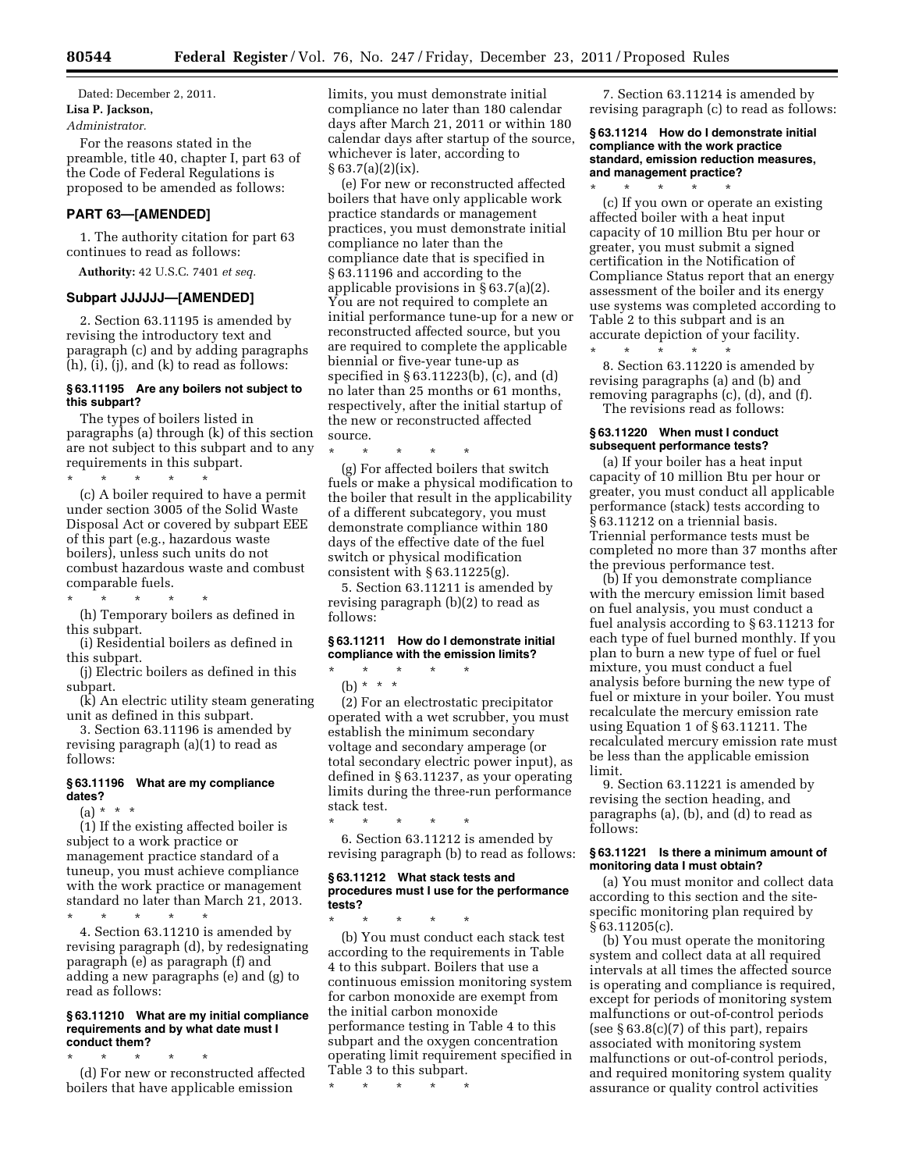Dated: December 2, 2011. **Lisa P. Jackson,** 

#### *Administrator.*

For the reasons stated in the preamble, title 40, chapter I, part 63 of the Code of Federal Regulations is proposed to be amended as follows:

## **PART 63—[AMENDED]**

1. The authority citation for part 63 continues to read as follows:

**Authority:** 42 U.S.C. 7401 *et seq.* 

### **Subpart JJJJJJ—[AMENDED]**

2. Section 63.11195 is amended by revising the introductory text and paragraph (c) and by adding paragraphs (h), (i), (j), and (k) to read as follows:

## **§ 63.11195 Are any boilers not subject to this subpart?**

The types of boilers listed in paragraphs (a) through (k) of this section are not subject to this subpart and to any requirements in this subpart. \* \* \* \* \*

(c) A boiler required to have a permit under section 3005 of the Solid Waste Disposal Act or covered by subpart EEE of this part (e.g., hazardous waste boilers), unless such units do not combust hazardous waste and combust comparable fuels.

(h) Temporary boilers as defined in this subpart.

\* \* \* \* \*

(i) Residential boilers as defined in this subpart.

(j) Electric boilers as defined in this subpart.

(k) An electric utility steam generating unit as defined in this subpart.

3. Section 63.11196 is amended by revising paragraph (a)(1) to read as follows:

#### **§ 63.11196 What are my compliance dates?**

 $(a) * * * *$ 

(1) If the existing affected boiler is subject to a work practice or management practice standard of a tuneup, you must achieve compliance with the work practice or management standard no later than March 21, 2013.

\* \* \* \* \* 4. Section 63.11210 is amended by

revising paragraph (d), by redesignating paragraph (e) as paragraph (f) and adding a new paragraphs (e) and (g) to read as follows:

#### **§ 63.11210 What are my initial compliance requirements and by what date must I conduct them?**

\* \* \* \* \* (d) For new or reconstructed affected boilers that have applicable emission

limits, you must demonstrate initial compliance no later than 180 calendar days after March 21, 2011 or within 180 calendar days after startup of the source, whichever is later, according to  $§ 63.7(a)(2)(ix).$ 

(e) For new or reconstructed affected boilers that have only applicable work practice standards or management practices, you must demonstrate initial compliance no later than the compliance date that is specified in § 63.11196 and according to the applicable provisions in § 63.7(a)(2). You are not required to complete an initial performance tune-up for a new or reconstructed affected source, but you are required to complete the applicable biennial or five-year tune-up as specified in § 63.11223(b), (c), and (d) no later than 25 months or 61 months, respectively, after the initial startup of the new or reconstructed affected source.

\* \* \* \* \*

(g) For affected boilers that switch fuels or make a physical modification to the boiler that result in the applicability of a different subcategory, you must demonstrate compliance within 180 days of the effective date of the fuel switch or physical modification consistent with § 63.11225(g).

5. Section 63.11211 is amended by revising paragraph (b)(2) to read as follows:

## **§ 63.11211 How do I demonstrate initial compliance with the emission limits?**

\* \* \* \* \* (b) \* \* \*

(2) For an electrostatic precipitator operated with a wet scrubber, you must establish the minimum secondary voltage and secondary amperage (or total secondary electric power input), as defined in § 63.11237, as your operating limits during the three-run performance stack test.

\* \* \* \* \*

6. Section 63.11212 is amended by revising paragraph (b) to read as follows:

#### **§ 63.11212 What stack tests and procedures must I use for the performance tests?**

\* \* \* \* \* (b) You must conduct each stack test according to the requirements in Table 4 to this subpart. Boilers that use a continuous emission monitoring system for carbon monoxide are exempt from the initial carbon monoxide performance testing in Table 4 to this subpart and the oxygen concentration operating limit requirement specified in Table 3 to this subpart.

\* \* \* \* \*

7. Section 63.11214 is amended by revising paragraph (c) to read as follows:

#### **§ 63.11214 How do I demonstrate initial compliance with the work practice standard, emission reduction measures, and management practice?**

\* \* \* \* \* (c) If you own or operate an existing affected boiler with a heat input capacity of 10 million Btu per hour or greater, you must submit a signed certification in the Notification of Compliance Status report that an energy assessment of the boiler and its energy use systems was completed according to Table 2 to this subpart and is an accurate depiction of your facility.  $\star$   $\star$   $\star$ 

8. Section 63.11220 is amended by revising paragraphs (a) and (b) and removing paragraphs (c), (d), and (f). The revisions read as follows:

## **§ 63.11220 When must I conduct subsequent performance tests?**

(a) If your boiler has a heat input capacity of 10 million Btu per hour or greater, you must conduct all applicable performance (stack) tests according to § 63.11212 on a triennial basis. Triennial performance tests must be completed no more than 37 months after the previous performance test.

(b) If you demonstrate compliance with the mercury emission limit based on fuel analysis, you must conduct a fuel analysis according to § 63.11213 for each type of fuel burned monthly. If you plan to burn a new type of fuel or fuel mixture, you must conduct a fuel analysis before burning the new type of fuel or mixture in your boiler. You must recalculate the mercury emission rate using Equation 1 of § 63.11211. The recalculated mercury emission rate must be less than the applicable emission limit.

9. Section 63.11221 is amended by revising the section heading, and paragraphs (a), (b), and (d) to read as follows:

#### **§ 63.11221 Is there a minimum amount of monitoring data I must obtain?**

(a) You must monitor and collect data according to this section and the sitespecific monitoring plan required by § 63.11205(c).

(b) You must operate the monitoring system and collect data at all required intervals at all times the affected source is operating and compliance is required, except for periods of monitoring system malfunctions or out-of-control periods (see  $\S 63.8(c)(7)$  of this part), repairs associated with monitoring system malfunctions or out-of-control periods, and required monitoring system quality assurance or quality control activities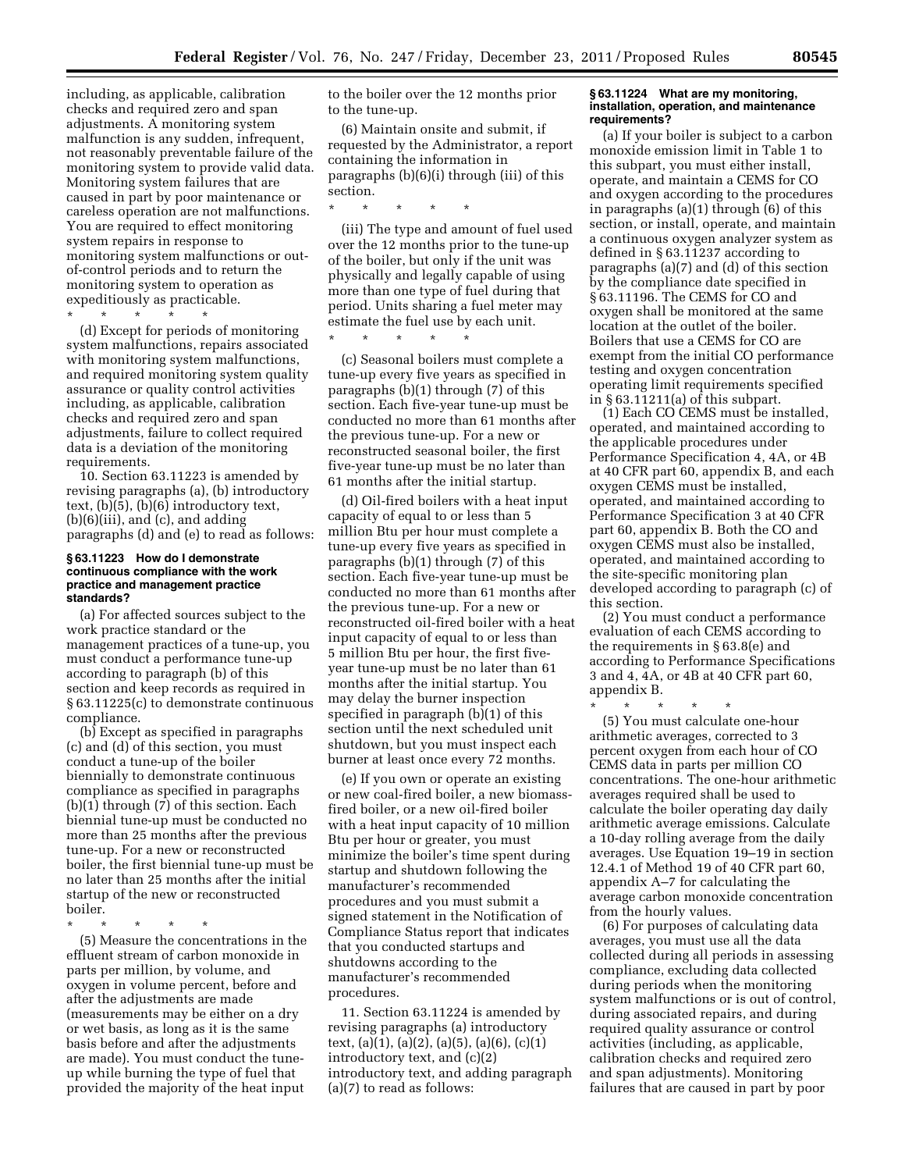including, as applicable, calibration checks and required zero and span adjustments. A monitoring system malfunction is any sudden, infrequent, not reasonably preventable failure of the monitoring system to provide valid data. Monitoring system failures that are caused in part by poor maintenance or careless operation are not malfunctions. You are required to effect monitoring system repairs in response to monitoring system malfunctions or outof-control periods and to return the monitoring system to operation as expeditiously as practicable.

\* \* \* \* \*

(d) Except for periods of monitoring system malfunctions, repairs associated with monitoring system malfunctions, and required monitoring system quality assurance or quality control activities including, as applicable, calibration checks and required zero and span adjustments, failure to collect required data is a deviation of the monitoring requirements.

10. Section 63.11223 is amended by revising paragraphs (a), (b) introductory text, (b)(5), (b)(6) introductory text,  $(b)(6)(iii)$ , and  $(c)$ , and adding paragraphs (d) and (e) to read as follows:

#### **§ 63.11223 How do I demonstrate continuous compliance with the work practice and management practice standards?**

(a) For affected sources subject to the work practice standard or the management practices of a tune-up, you must conduct a performance tune-up according to paragraph (b) of this section and keep records as required in § 63.11225(c) to demonstrate continuous compliance.

(b) Except as specified in paragraphs (c) and (d) of this section, you must conduct a tune-up of the boiler biennially to demonstrate continuous compliance as specified in paragraphs (b)(1) through (7) of this section. Each biennial tune-up must be conducted no more than 25 months after the previous tune-up. For a new or reconstructed boiler, the first biennial tune-up must be no later than 25 months after the initial startup of the new or reconstructed boiler.

\* \* \* \* \*

(5) Measure the concentrations in the effluent stream of carbon monoxide in parts per million, by volume, and oxygen in volume percent, before and after the adjustments are made (measurements may be either on a dry or wet basis, as long as it is the same basis before and after the adjustments are made). You must conduct the tuneup while burning the type of fuel that provided the majority of the heat input

to the boiler over the 12 months prior to the tune-up.

(6) Maintain onsite and submit, if requested by the Administrator, a report containing the information in paragraphs (b)(6)(i) through (iii) of this section.

\* \* \* \* \*

(iii) The type and amount of fuel used over the 12 months prior to the tune-up of the boiler, but only if the unit was physically and legally capable of using more than one type of fuel during that period. Units sharing a fuel meter may estimate the fuel use by each unit.

\* \* \* \* \*

(c) Seasonal boilers must complete a tune-up every five years as specified in paragraphs (b)(1) through (7) of this section. Each five-year tune-up must be conducted no more than 61 months after the previous tune-up. For a new or reconstructed seasonal boiler, the first five-year tune-up must be no later than 61 months after the initial startup.

(d) Oil-fired boilers with a heat input capacity of equal to or less than 5 million Btu per hour must complete a tune-up every five years as specified in paragraphs (b)(1) through (7) of this section. Each five-year tune-up must be conducted no more than 61 months after the previous tune-up. For a new or reconstructed oil-fired boiler with a heat input capacity of equal to or less than 5 million Btu per hour, the first fiveyear tune-up must be no later than 61 months after the initial startup. You may delay the burner inspection specified in paragraph (b)(1) of this section until the next scheduled unit shutdown, but you must inspect each burner at least once every 72 months.

(e) If you own or operate an existing or new coal-fired boiler, a new biomassfired boiler, or a new oil-fired boiler with a heat input capacity of 10 million Btu per hour or greater, you must minimize the boiler's time spent during startup and shutdown following the manufacturer's recommended procedures and you must submit a signed statement in the Notification of Compliance Status report that indicates that you conducted startups and shutdowns according to the manufacturer's recommended procedures.

11. Section 63.11224 is amended by revising paragraphs (a) introductory text, (a)(1), (a)(2), (a)(5), (a)(6), (c)(1) introductory text, and (c)(2) introductory text, and adding paragraph (a)(7) to read as follows:

#### **§ 63.11224 What are my monitoring, installation, operation, and maintenance requirements?**

(a) If your boiler is subject to a carbon monoxide emission limit in Table 1 to this subpart, you must either install, operate, and maintain a CEMS for CO and oxygen according to the procedures in paragraphs (a)(1) through (6) of this section, or install, operate, and maintain a continuous oxygen analyzer system as defined in § 63.11237 according to paragraphs (a)(7) and (d) of this section by the compliance date specified in § 63.11196. The CEMS for CO and oxygen shall be monitored at the same location at the outlet of the boiler. Boilers that use a CEMS for CO are exempt from the initial CO performance testing and oxygen concentration operating limit requirements specified in § 63.11211(a) of this subpart.

(1) Each CO CEMS must be installed, operated, and maintained according to the applicable procedures under Performance Specification 4, 4A, or 4B at 40 CFR part 60, appendix B, and each oxygen CEMS must be installed, operated, and maintained according to Performance Specification 3 at 40 CFR part 60, appendix B. Both the CO and oxygen CEMS must also be installed, operated, and maintained according to the site-specific monitoring plan developed according to paragraph (c) of this section.

(2) You must conduct a performance evaluation of each CEMS according to the requirements in § 63.8(e) and according to Performance Specifications 3 and 4, 4A, or 4B at 40 CFR part 60, appendix B.

\* \* \* \* \* (5) You must calculate one-hour arithmetic averages, corrected to 3 percent oxygen from each hour of CO CEMS data in parts per million CO concentrations. The one-hour arithmetic averages required shall be used to calculate the boiler operating day daily arithmetic average emissions. Calculate a 10-day rolling average from the daily averages. Use Equation 19–19 in section 12.4.1 of Method 19 of 40 CFR part 60, appendix A–7 for calculating the average carbon monoxide concentration from the hourly values.

(6) For purposes of calculating data averages, you must use all the data collected during all periods in assessing compliance, excluding data collected during periods when the monitoring system malfunctions or is out of control, during associated repairs, and during required quality assurance or control activities (including, as applicable, calibration checks and required zero and span adjustments). Monitoring failures that are caused in part by poor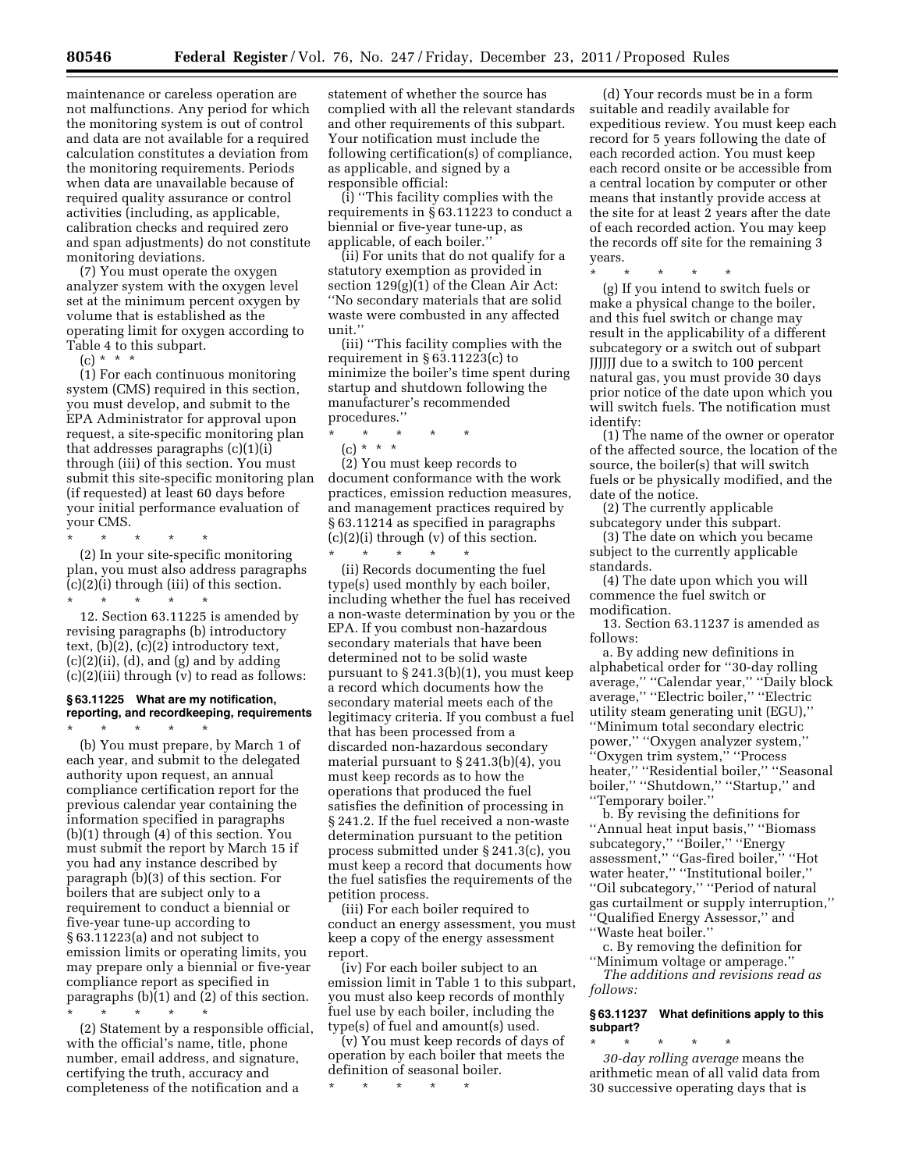maintenance or careless operation are not malfunctions. Any period for which the monitoring system is out of control and data are not available for a required calculation constitutes a deviation from the monitoring requirements. Periods when data are unavailable because of required quality assurance or control activities (including, as applicable, calibration checks and required zero and span adjustments) do not constitute monitoring deviations.

(7) You must operate the oxygen analyzer system with the oxygen level set at the minimum percent oxygen by volume that is established as the operating limit for oxygen according to Table 4 to this subpart.

 $(c) * * * *$ 

(1) For each continuous monitoring system (CMS) required in this section, you must develop, and submit to the EPA Administrator for approval upon request, a site-specific monitoring plan that addresses paragraphs (c)(1)(i) through (iii) of this section. You must submit this site-specific monitoring plan (if requested) at least 60 days before your initial performance evaluation of your CMS. \* \* \* \* \*

(2) In your site-specific monitoring plan, you must also address paragraphs (c)(2)(i) through (iii) of this section. \* \* \* \* \*

12. Section 63.11225 is amended by revising paragraphs (b) introductory text, (b)(2), (c)(2) introductory text,  $(c)(2)(ii)$ ,  $(d)$ , and  $(g)$  and by adding (c)(2)(iii) through (v) to read as follows:

#### **§ 63.11225 What are my notification, reporting, and recordkeeping, requirements**  \* \* \* \* \*

(b) You must prepare, by March 1 of each year, and submit to the delegated authority upon request, an annual compliance certification report for the previous calendar year containing the information specified in paragraphs (b)(1) through (4) of this section. You must submit the report by March 15 if you had any instance described by paragraph (b)(3) of this section. For boilers that are subject only to a requirement to conduct a biennial or five-year tune-up according to § 63.11223(a) and not subject to emission limits or operating limits, you may prepare only a biennial or five-year compliance report as specified in paragraphs (b)(1) and (2) of this section. \* \* \* \* \*

(2) Statement by a responsible official, with the official's name, title, phone number, email address, and signature, certifying the truth, accuracy and completeness of the notification and a

statement of whether the source has complied with all the relevant standards and other requirements of this subpart. Your notification must include the following certification(s) of compliance, as applicable, and signed by a responsible official:

(i) ''This facility complies with the requirements in § 63.11223 to conduct a biennial or five-year tune-up, as applicable, of each boiler.''

(ii) For units that do not qualify for a statutory exemption as provided in section 129(g)(1) of the Clean Air Act: ''No secondary materials that are solid waste were combusted in any affected unit.''

(iii) ''This facility complies with the requirement in § 63.11223(c) to minimize the boiler's time spent during startup and shutdown following the manufacturer's recommended procedures.''

\* \* \* \* \*

(c) \* \* \*

(2) You must keep records to document conformance with the work practices, emission reduction measures, and management practices required by § 63.11214 as specified in paragraphs  $(c)(2)(i)$  through  $(v)$  of this section.

\* \* \* \* \* (ii) Records documenting the fuel type(s) used monthly by each boiler, including whether the fuel has received a non-waste determination by you or the EPA. If you combust non-hazardous secondary materials that have been determined not to be solid waste pursuant to § 241.3(b)(1), you must keep a record which documents how the secondary material meets each of the legitimacy criteria. If you combust a fuel that has been processed from a discarded non-hazardous secondary material pursuant to § 241.3(b)(4), you must keep records as to how the operations that produced the fuel satisfies the definition of processing in § 241.2. If the fuel received a non-waste determination pursuant to the petition process submitted under § 241.3(c), you must keep a record that documents how the fuel satisfies the requirements of the petition process.

(iii) For each boiler required to conduct an energy assessment, you must keep a copy of the energy assessment report.

(iv) For each boiler subject to an emission limit in Table 1 to this subpart, you must also keep records of monthly fuel use by each boiler, including the type(s) of fuel and amount(s) used.

(v) You must keep records of days of operation by each boiler that meets the definition of seasonal boiler.

\* \* \* \* \*

(d) Your records must be in a form suitable and readily available for expeditious review. You must keep each record for 5 years following the date of each recorded action. You must keep each record onsite or be accessible from a central location by computer or other means that instantly provide access at the site for at least 2 years after the date of each recorded action. You may keep the records off site for the remaining 3 years.

\* \* \* \* \* (g) If you intend to switch fuels or make a physical change to the boiler, and this fuel switch or change may result in the applicability of a different subcategory or a switch out of subpart JJJJJJ due to a switch to 100 percent natural gas, you must provide 30 days prior notice of the date upon which you will switch fuels. The notification must identify:

(1) The name of the owner or operator of the affected source, the location of the source, the boiler(s) that will switch fuels or be physically modified, and the date of the notice.

(2) The currently applicable subcategory under this subpart.

(3) The date on which you became subject to the currently applicable standards.

(4) The date upon which you will commence the fuel switch or modification.

13. Section 63.11237 is amended as follows:

a. By adding new definitions in alphabetical order for ''30-day rolling average,'' ''Calendar year,'' ''Daily block average,'' ''Electric boiler,'' ''Electric utility steam generating unit (EGU),'' ''Minimum total secondary electric power,'' ''Oxygen analyzer system,'' ''Oxygen trim system,'' ''Process heater,'' ''Residential boiler,'' ''Seasonal boiler,'' ''Shutdown,'' ''Startup,'' and ''Temporary boiler.''

b. By revising the definitions for ''Annual heat input basis,'' ''Biomass subcategory,'' ''Boiler,'' ''Energy assessment,'' ''Gas-fired boiler,'' ''Hot water heater,'' ''Institutional boiler,'' ''Oil subcategory,'' ''Period of natural gas curtailment or supply interruption,'' ''Qualified Energy Assessor,'' and ''Waste heat boiler.''

c. By removing the definition for ''Minimum voltage or amperage.''

*The additions and revisions read as follows:* 

## **§ 63.11237 What definitions apply to this subpart?**

\* \* \* \* \* *30-day rolling average* means the arithmetic mean of all valid data from 30 successive operating days that is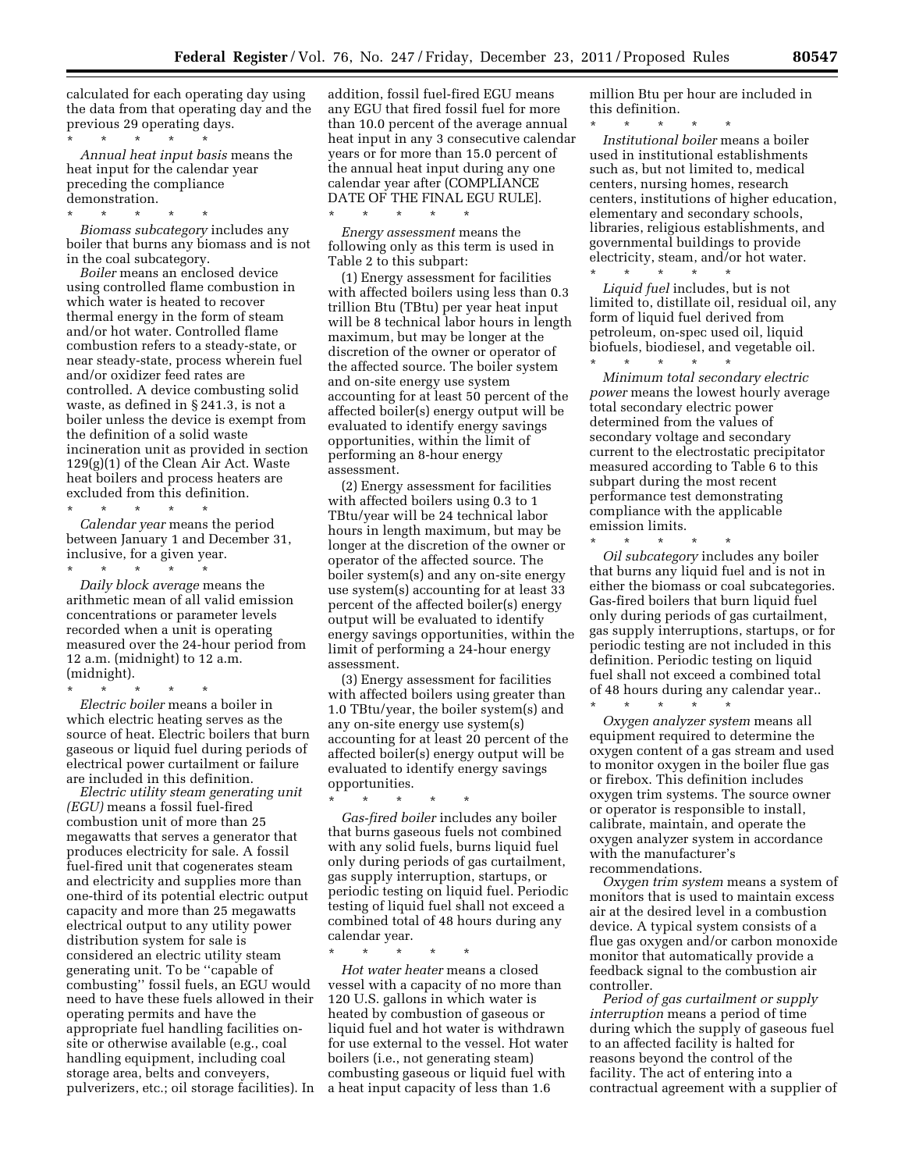calculated for each operating day using the data from that operating day and the previous 29 operating days.

\* \* \* \* \* *Annual heat input basis* means the heat input for the calendar year preceding the compliance demonstration.

\* \* \* \* \*

*Biomass subcategory* includes any boiler that burns any biomass and is not in the coal subcategory.

*Boiler* means an enclosed device using controlled flame combustion in which water is heated to recover thermal energy in the form of steam and/or hot water. Controlled flame combustion refers to a steady-state, or near steady-state, process wherein fuel and/or oxidizer feed rates are controlled. A device combusting solid waste, as defined in § 241.3, is not a boiler unless the device is exempt from the definition of a solid waste incineration unit as provided in section 129(g)(1) of the Clean Air Act. Waste heat boilers and process heaters are excluded from this definition.

\* \* \* \* \* *Calendar year* means the period between January 1 and December 31, inclusive, for a given year.

\* \* \* \* \* *Daily block average* means the arithmetic mean of all valid emission concentrations or parameter levels recorded when a unit is operating measured over the 24-hour period from 12 a.m. (midnight) to 12 a.m. (midnight).

\* \* \* \* \*

*Electric boiler* means a boiler in which electric heating serves as the source of heat. Electric boilers that burn gaseous or liquid fuel during periods of electrical power curtailment or failure are included in this definition.

*Electric utility steam generating unit (EGU)* means a fossil fuel-fired combustion unit of more than 25 megawatts that serves a generator that produces electricity for sale. A fossil fuel-fired unit that cogenerates steam and electricity and supplies more than one-third of its potential electric output capacity and more than 25 megawatts electrical output to any utility power distribution system for sale is considered an electric utility steam generating unit. To be ''capable of combusting'' fossil fuels, an EGU would need to have these fuels allowed in their operating permits and have the appropriate fuel handling facilities onsite or otherwise available (e.g., coal handling equipment, including coal storage area, belts and conveyers, pulverizers, etc.; oil storage facilities). In addition, fossil fuel-fired EGU means any EGU that fired fossil fuel for more than 10.0 percent of the average annual heat input in any 3 consecutive calendar years or for more than 15.0 percent of the annual heat input during any one calendar year after (COMPLIANCE DATE OF THE FINAL EGU RULE].

\* \* \* \* \* *Energy assessment* means the following only as this term is used in Table 2 to this subpart:

(1) Energy assessment for facilities with affected boilers using less than 0.3 trillion Btu (TBtu) per year heat input will be 8 technical labor hours in length maximum, but may be longer at the discretion of the owner or operator of the affected source. The boiler system and on-site energy use system accounting for at least 50 percent of the affected boiler(s) energy output will be evaluated to identify energy savings opportunities, within the limit of performing an 8-hour energy assessment.

(2) Energy assessment for facilities with affected boilers using 0.3 to 1 TBtu/year will be 24 technical labor hours in length maximum, but may be longer at the discretion of the owner or operator of the affected source. The boiler system(s) and any on-site energy use system(s) accounting for at least 33 percent of the affected boiler(s) energy output will be evaluated to identify energy savings opportunities, within the limit of performing a 24-hour energy assessment.

(3) Energy assessment for facilities with affected boilers using greater than 1.0 TBtu/year, the boiler system(s) and any on-site energy use system(s) accounting for at least 20 percent of the affected boiler(s) energy output will be evaluated to identify energy savings opportunities.

\* \* \* \* \* *Gas-fired boiler* includes any boiler that burns gaseous fuels not combined with any solid fuels, burns liquid fuel only during periods of gas curtailment, gas supply interruption, startups, or periodic testing on liquid fuel. Periodic testing of liquid fuel shall not exceed a combined total of 48 hours during any calendar year.

\* \* \* \* \* *Hot water heater* means a closed vessel with a capacity of no more than 120 U.S. gallons in which water is heated by combustion of gaseous or liquid fuel and hot water is withdrawn for use external to the vessel. Hot water boilers (i.e., not generating steam) combusting gaseous or liquid fuel with a heat input capacity of less than 1.6

million Btu per hour are included in this definition.

\* \* \* \* \* *Institutional boiler* means a boiler used in institutional establishments such as, but not limited to, medical centers, nursing homes, research centers, institutions of higher education, elementary and secondary schools, libraries, religious establishments, and governmental buildings to provide electricity, steam, and/or hot water.

\* \* \* \* \* *Liquid fuel* includes, but is not limited to, distillate oil, residual oil, any form of liquid fuel derived from petroleum, on-spec used oil, liquid biofuels, biodiesel, and vegetable oil.

\* \* \* \* \* *Minimum total secondary electric power* means the lowest hourly average total secondary electric power determined from the values of secondary voltage and secondary current to the electrostatic precipitator measured according to Table 6 to this subpart during the most recent performance test demonstrating compliance with the applicable emission limits.

\* \* \* \* \* *Oil subcategory* includes any boiler that burns any liquid fuel and is not in either the biomass or coal subcategories. Gas-fired boilers that burn liquid fuel only during periods of gas curtailment, gas supply interruptions, startups, or for periodic testing are not included in this definition. Periodic testing on liquid fuel shall not exceed a combined total of 48 hours during any calendar year..

\* \* \* \* \* *Oxygen analyzer system* means all equipment required to determine the oxygen content of a gas stream and used to monitor oxygen in the boiler flue gas or firebox. This definition includes oxygen trim systems. The source owner or operator is responsible to install, calibrate, maintain, and operate the oxygen analyzer system in accordance with the manufacturer's recommendations.

*Oxygen trim system* means a system of monitors that is used to maintain excess air at the desired level in a combustion device. A typical system consists of a flue gas oxygen and/or carbon monoxide monitor that automatically provide a feedback signal to the combustion air controller.

*Period of gas curtailment or supply interruption* means a period of time during which the supply of gaseous fuel to an affected facility is halted for reasons beyond the control of the facility. The act of entering into a contractual agreement with a supplier of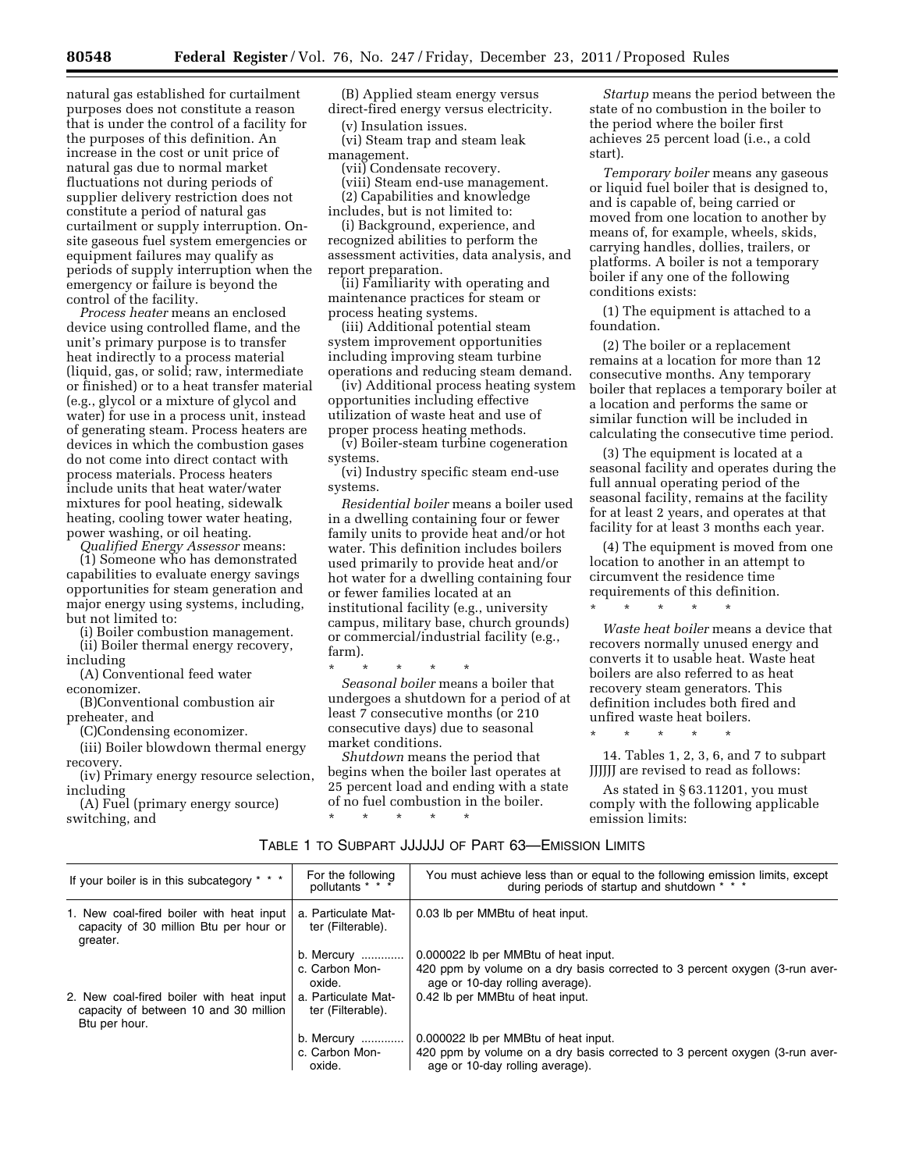natural gas established for curtailment purposes does not constitute a reason that is under the control of a facility for the purposes of this definition. An increase in the cost or unit price of natural gas due to normal market fluctuations not during periods of supplier delivery restriction does not constitute a period of natural gas curtailment or supply interruption. Onsite gaseous fuel system emergencies or equipment failures may qualify as periods of supply interruption when the emergency or failure is beyond the control of the facility.

*Process heater* means an enclosed device using controlled flame, and the unit's primary purpose is to transfer heat indirectly to a process material (liquid, gas, or solid; raw, intermediate or finished) or to a heat transfer material (e.g., glycol or a mixture of glycol and water) for use in a process unit, instead of generating steam. Process heaters are devices in which the combustion gases do not come into direct contact with process materials. Process heaters include units that heat water/water mixtures for pool heating, sidewalk heating, cooling tower water heating, power washing, or oil heating.

*Qualified Energy Assessor* means:

(1) Someone who has demonstrated capabilities to evaluate energy savings opportunities for steam generation and major energy using systems, including, but not limited to:

(i) Boiler combustion management.

(ii) Boiler thermal energy recovery, including

(A) Conventional feed water economizer.

(B)Conventional combustion air preheater, and

(C)Condensing economizer.

(iii) Boiler blowdown thermal energy recovery.

(iv) Primary energy resource selection, including

(A) Fuel (primary energy source) switching, and

(B) Applied steam energy versus direct-fired energy versus electricity.

(v) Insulation issues.

(vi) Steam trap and steam leak management.

(vii) Condensate recovery.

(viii) Steam end-use management. (2) Capabilities and knowledge

includes, but is not limited to: (i) Background, experience, and recognized abilities to perform the assessment activities, data analysis, and report preparation.

(ii) Familiarity with operating and maintenance practices for steam or process heating systems.

(iii) Additional potential steam system improvement opportunities including improving steam turbine operations and reducing steam demand.

(iv) Additional process heating system opportunities including effective utilization of waste heat and use of proper process heating methods.

(v) Boiler-steam turbine cogeneration systems.

(vi) Industry specific steam end-use systems.

*Residential boiler* means a boiler used in a dwelling containing four or fewer family units to provide heat and/or hot water. This definition includes boilers used primarily to provide heat and/or hot water for a dwelling containing four or fewer families located at an institutional facility (e.g., university campus, military base, church grounds) or commercial/industrial facility (e.g., farm).

\* \* \* \* \* *Seasonal boiler* means a boiler that undergoes a shutdown for a period of at least 7 consecutive months (or 210 consecutive days) due to seasonal market conditions.

*Shutdown* means the period that begins when the boiler last operates at 25 percent load and ending with a state of no fuel combustion in the boiler. \* \* \* \* \*

*Startup* means the period between the state of no combustion in the boiler to the period where the boiler first achieves 25 percent load (i.e., a cold start).

*Temporary boiler* means any gaseous or liquid fuel boiler that is designed to, and is capable of, being carried or moved from one location to another by means of, for example, wheels, skids, carrying handles, dollies, trailers, or platforms. A boiler is not a temporary boiler if any one of the following conditions exists:

(1) The equipment is attached to a foundation.

(2) The boiler or a replacement remains at a location for more than 12 consecutive months. Any temporary boiler that replaces a temporary boiler at a location and performs the same or similar function will be included in calculating the consecutive time period.

(3) The equipment is located at a seasonal facility and operates during the full annual operating period of the seasonal facility, remains at the facility for at least 2 years, and operates at that facility for at least 3 months each year.

(4) The equipment is moved from one location to another in an attempt to circumvent the residence time requirements of this definition. \* \* \* \* \*

*Waste heat boiler* means a device that recovers normally unused energy and converts it to usable heat. Waste heat boilers are also referred to as heat recovery steam generators. This definition includes both fired and unfired waste heat boilers.

14. Tables 1, 2, 3, 6, and 7 to subpart JJJJJJ are revised to read as follows:

\* \* \* \* \*

As stated in § 63.11201, you must comply with the following applicable emission limits:

| TABLE 1 TO SUBPART JJJJJJJ OF PART 63-EMISSION LIMITS |
|-------------------------------------------------------|
|                                                       |

| If your boiler is in this subcategory * * *                                                        | For the following<br>pollutants $* * *$  | You must achieve less than or equal to the following emission limits, except<br>during periods of startup and shutdown * * * |
|----------------------------------------------------------------------------------------------------|------------------------------------------|------------------------------------------------------------------------------------------------------------------------------|
| 1. New coal-fired boiler with heat input<br>capacity of 30 million Btu per hour or<br>greater.     | a. Particulate Mat-<br>ter (Filterable). | 0.03 lb per MMB tu of heat input.                                                                                            |
|                                                                                                    | b. Mercury                               | 0.000022 lb per MMB tu of heat input.                                                                                        |
|                                                                                                    | c. Carbon Mon-<br>oxide.                 | 420 ppm by volume on a dry basis corrected to 3 percent oxygen (3-run aver-<br>age or 10-day rolling average).               |
| 2. New coal-fired boiler with heat input<br>capacity of between 10 and 30 million<br>Btu per hour. | a. Particulate Mat-<br>ter (Filterable). | 0.42 lb per MMBtu of heat input.                                                                                             |
|                                                                                                    | b. Mercury                               | 0.000022 lb per MMBtu of heat input.                                                                                         |
|                                                                                                    | c. Carbon Mon-<br>oxide.                 | 420 ppm by volume on a dry basis corrected to 3 percent oxygen (3-run aver-<br>age or 10-day rolling average).               |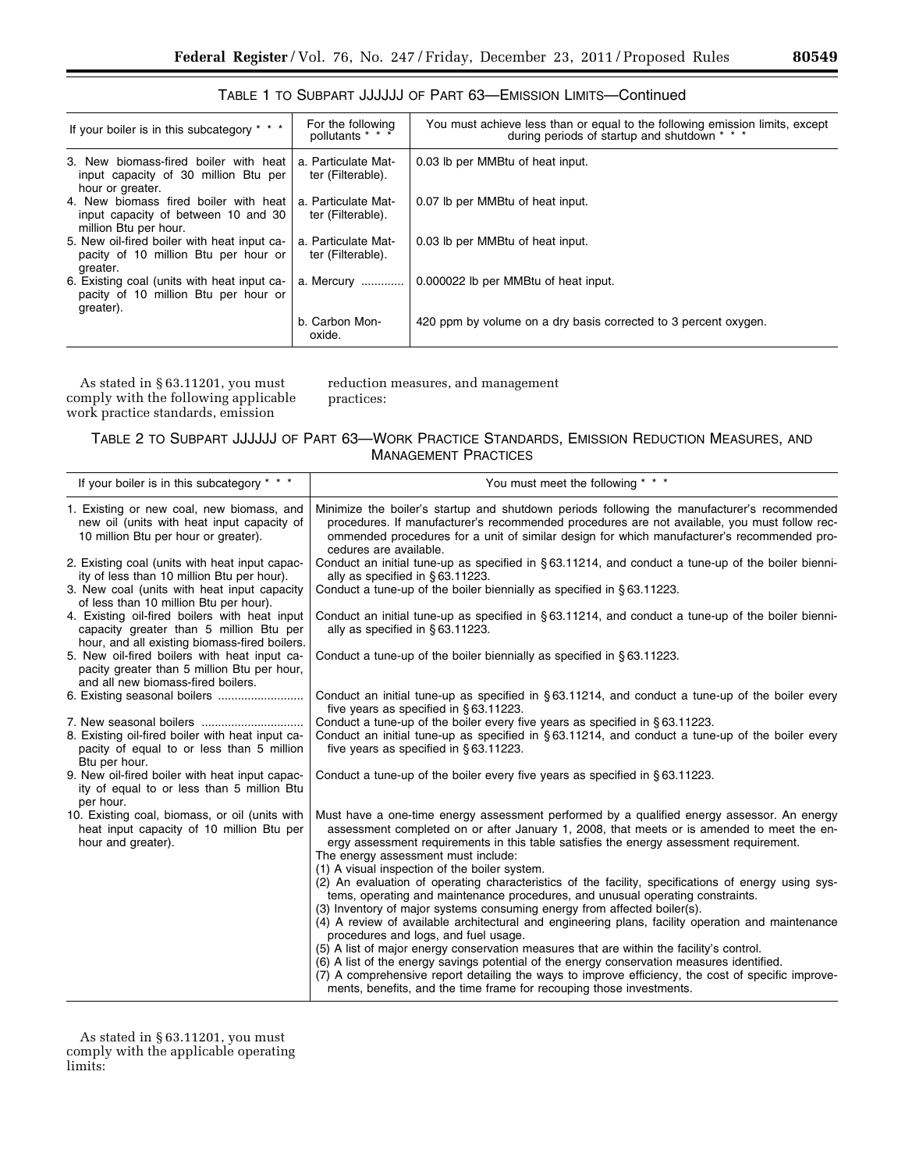| If your boiler is in this subcategory * * *                                                           | For the following<br>pollutants * * *    | You must achieve less than or equal to the following emission limits, except<br>during periods of startup and shutdown * * * |
|-------------------------------------------------------------------------------------------------------|------------------------------------------|------------------------------------------------------------------------------------------------------------------------------|
| 3. New biomass-fired boiler with heat<br>input capacity of 30 million Btu per<br>hour or greater.     | a. Particulate Mat-<br>ter (Filterable). | 0.03 lb per MMBtu of heat input.                                                                                             |
| 4. New biomass fired boiler with heat<br>input capacity of between 10 and 30<br>million Btu per hour. | a. Particulate Mat-<br>ter (Filterable). | 0.07 lb per MMBtu of heat input.                                                                                             |
| 5. New oil-fired boiler with heat input ca-<br>pacity of 10 million Btu per hour or<br>greater.       | a. Particulate Mat-<br>ter (Filterable). | 0.03 lb per MMBtu of heat input.                                                                                             |
| 6. Existing coal (units with heat input ca-<br>pacity of 10 million Btu per hour or                   | a. Mercury                               | 0.000022 lb per MMBtu of heat input.                                                                                         |

|  |  |  |  | TABLE 1 TO SUBPART JJJJJJJ OF PART 63—EMISSION LIMITS—Continued |  |
|--|--|--|--|-----------------------------------------------------------------|--|
|--|--|--|--|-----------------------------------------------------------------|--|

As stated in § 63.11201, you must comply with the following applicable work practice standards, emission

greater).

reduction measures, and management practices:

b. Carbon Monoxide.

TABLE 2 TO SUBPART JJJJJJ OF PART 63—WORK PRACTICE STANDARDS, EMISSION REDUCTION MEASURES, AND MANAGEMENT PRACTICES

420 ppm by volume on a dry basis corrected to 3 percent oxygen.

| You must meet the following * * *                                                                                                                                                                                                                                                                                                                                                                                                                                                                                                                                                                                                                                                                                                                                                                                                                                                                                                                                                                                                                                                                                                                                     |
|-----------------------------------------------------------------------------------------------------------------------------------------------------------------------------------------------------------------------------------------------------------------------------------------------------------------------------------------------------------------------------------------------------------------------------------------------------------------------------------------------------------------------------------------------------------------------------------------------------------------------------------------------------------------------------------------------------------------------------------------------------------------------------------------------------------------------------------------------------------------------------------------------------------------------------------------------------------------------------------------------------------------------------------------------------------------------------------------------------------------------------------------------------------------------|
| Minimize the boiler's startup and shutdown periods following the manufacturer's recommended<br>procedures. If manufacturer's recommended procedures are not available, you must follow rec-<br>ommended procedures for a unit of similar design for which manufacturer's recommended pro-<br>cedures are available.                                                                                                                                                                                                                                                                                                                                                                                                                                                                                                                                                                                                                                                                                                                                                                                                                                                   |
| Conduct an initial tune-up as specified in §63.11214, and conduct a tune-up of the boiler bienni-<br>ally as specified in $§ 63.11223$ .                                                                                                                                                                                                                                                                                                                                                                                                                                                                                                                                                                                                                                                                                                                                                                                                                                                                                                                                                                                                                              |
| Conduct a tune-up of the boiler biennially as specified in §63.11223.                                                                                                                                                                                                                                                                                                                                                                                                                                                                                                                                                                                                                                                                                                                                                                                                                                                                                                                                                                                                                                                                                                 |
| Conduct an initial tune-up as specified in §63.11214, and conduct a tune-up of the boiler bienni-<br>ally as specified in $§ 63.11223$ .                                                                                                                                                                                                                                                                                                                                                                                                                                                                                                                                                                                                                                                                                                                                                                                                                                                                                                                                                                                                                              |
| Conduct a tune-up of the boiler biennially as specified in §63.11223.                                                                                                                                                                                                                                                                                                                                                                                                                                                                                                                                                                                                                                                                                                                                                                                                                                                                                                                                                                                                                                                                                                 |
| Conduct an initial tune-up as specified in $\S 63.11214$ , and conduct a tune-up of the boiler every<br>five years as specified in §63.11223.                                                                                                                                                                                                                                                                                                                                                                                                                                                                                                                                                                                                                                                                                                                                                                                                                                                                                                                                                                                                                         |
| Conduct a tune-up of the boiler every five years as specified in §63.11223.<br>Conduct an initial tune-up as specified in $\S 63.11214$ , and conduct a tune-up of the boiler every<br>five years as specified in $\S 63.11223$ .                                                                                                                                                                                                                                                                                                                                                                                                                                                                                                                                                                                                                                                                                                                                                                                                                                                                                                                                     |
| Conduct a tune-up of the boiler every five years as specified in §63.11223.                                                                                                                                                                                                                                                                                                                                                                                                                                                                                                                                                                                                                                                                                                                                                                                                                                                                                                                                                                                                                                                                                           |
| Must have a one-time energy assessment performed by a qualified energy assessor. An energy<br>assessment completed on or after January 1, 2008, that meets or is amended to meet the en-<br>ergy assessment requirements in this table satisfies the energy assessment requirement.<br>The energy assessment must include:<br>(1) A visual inspection of the boiler system.<br>(2) An evaluation of operating characteristics of the facility, specifications of energy using sys-<br>tems, operating and maintenance procedures, and unusual operating constraints.<br>(3) Inventory of major systems consuming energy from affected boiler(s).<br>(4) A review of available architectural and engineering plans, facility operation and maintenance<br>procedures and logs, and fuel usage.<br>(5) A list of major energy conservation measures that are within the facility's control.<br>(6) A list of the energy savings potential of the energy conservation measures identified.<br>(7) A comprehensive report detailing the ways to improve efficiency, the cost of specific improve-<br>ments, benefits, and the time frame for recouping those investments. |
|                                                                                                                                                                                                                                                                                                                                                                                                                                                                                                                                                                                                                                                                                                                                                                                                                                                                                                                                                                                                                                                                                                                                                                       |

As stated in § 63.11201, you must comply with the applicable operating limits: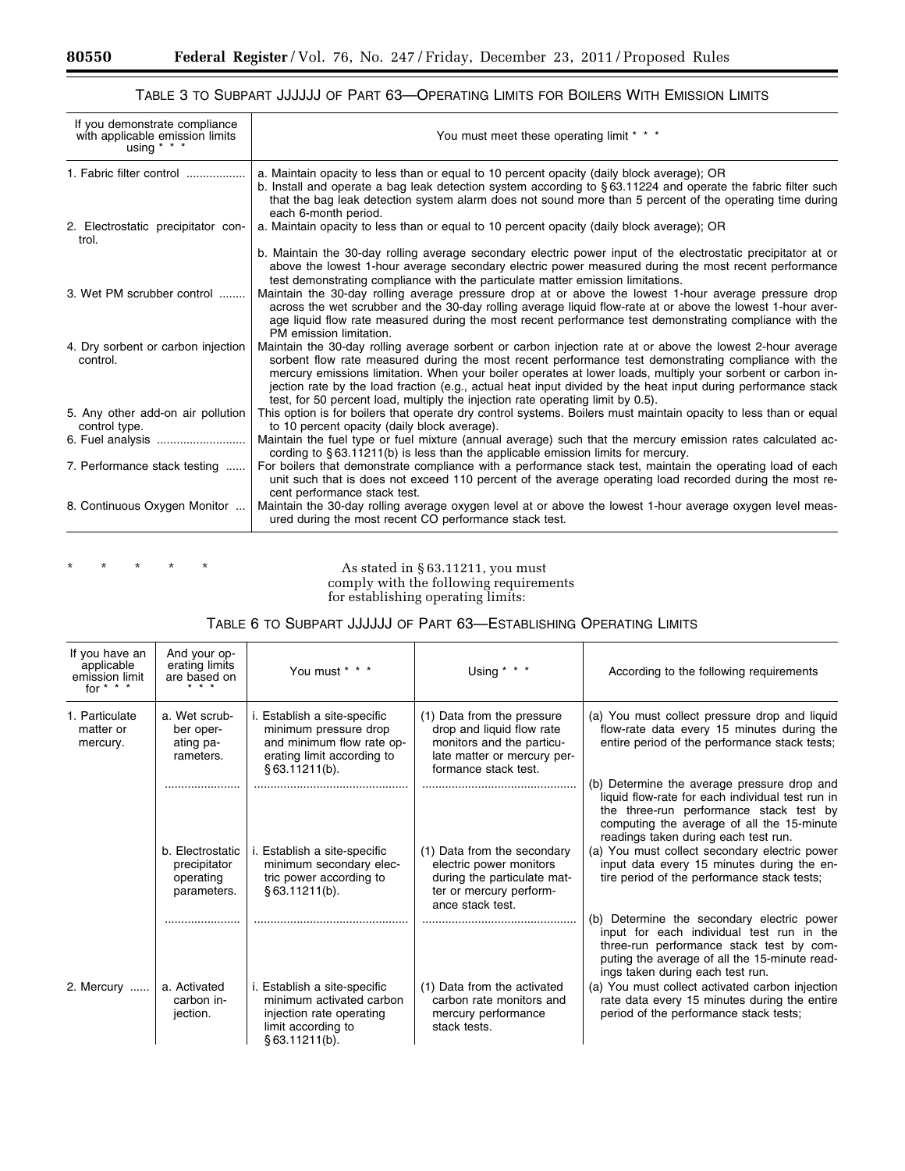۳

# TABLE 3 TO SUBPART JJJJJJ OF PART 63—OPERATING LIMITS FOR BOILERS WITH EMISSION LIMITS

| If you demonstrate compliance<br>with applicable emission limits<br>using $* * *$ | You must meet these operating limit * * *                                                                                                                                                                                                                                                                                                                                                                                                                                                                                             |
|-----------------------------------------------------------------------------------|---------------------------------------------------------------------------------------------------------------------------------------------------------------------------------------------------------------------------------------------------------------------------------------------------------------------------------------------------------------------------------------------------------------------------------------------------------------------------------------------------------------------------------------|
| 1. Fabric filter control                                                          | a. Maintain opacity to less than or equal to 10 percent opacity (daily block average); OR<br>b. Install and operate a bag leak detection system according to §63.11224 and operate the fabric filter such<br>that the bag leak detection system alarm does not sound more than 5 percent of the operating time during<br>each 6-month period.                                                                                                                                                                                         |
| 2. Electrostatic precipitator con-<br>trol.                                       | a. Maintain opacity to less than or equal to 10 percent opacity (daily block average); OR                                                                                                                                                                                                                                                                                                                                                                                                                                             |
|                                                                                   | b. Maintain the 30-day rolling average secondary electric power input of the electrostatic precipitator at or<br>above the lowest 1-hour average secondary electric power measured during the most recent performance<br>test demonstrating compliance with the particulate matter emission limitations.                                                                                                                                                                                                                              |
| 3. Wet PM scrubber control                                                        | Maintain the 30-day rolling average pressure drop at or above the lowest 1-hour average pressure drop<br>across the wet scrubber and the 30-day rolling average liquid flow-rate at or above the lowest 1-hour aver-<br>age liquid flow rate measured during the most recent performance test demonstrating compliance with the<br>PM emission limitation.                                                                                                                                                                            |
| 4. Dry sorbent or carbon injection<br>control.                                    | Maintain the 30-day rolling average sorbent or carbon injection rate at or above the lowest 2-hour average<br>sorbent flow rate measured during the most recent performance test demonstrating compliance with the<br>mercury emissions limitation. When your boiler operates at lower loads, multiply your sorbent or carbon in-<br>jection rate by the load fraction (e.g., actual heat input divided by the heat input during performance stack<br>test, for 50 percent load, multiply the injection rate operating limit by 0.5). |
| 5. Any other add-on air pollution<br>control type.                                | This option is for boilers that operate dry control systems. Boilers must maintain opacity to less than or equal<br>to 10 percent opacity (daily block average).                                                                                                                                                                                                                                                                                                                                                                      |
|                                                                                   | Maintain the fuel type or fuel mixture (annual average) such that the mercury emission rates calculated ac-<br>cording to $\S 63.11211(b)$ is less than the applicable emission limits for mercury.                                                                                                                                                                                                                                                                                                                                   |
| 7. Performance stack testing                                                      | For boilers that demonstrate compliance with a performance stack test, maintain the operating load of each<br>unit such that is does not exceed 110 percent of the average operating load recorded during the most re-<br>cent performance stack test.                                                                                                                                                                                                                                                                                |
| 8. Continuous Oxygen Monitor                                                      | Maintain the 30-day rolling average oxygen level at or above the lowest 1-hour average oxygen level meas-<br>ured during the most recent CO performance stack test.                                                                                                                                                                                                                                                                                                                                                                   |

\* \* \* \* \* \* As stated in § 63.11211, you must comply with the following requirements for establishing operating limits:

| If you have an<br>applicable<br>emission limit<br>for $* * * *$ | And your op-<br>erating limits<br>are based on               | You must * * *                                                                                                                    | Using $* * *$                                                                                                                               | According to the following requirements                                                                                                                                                                                          |
|-----------------------------------------------------------------|--------------------------------------------------------------|-----------------------------------------------------------------------------------------------------------------------------------|---------------------------------------------------------------------------------------------------------------------------------------------|----------------------------------------------------------------------------------------------------------------------------------------------------------------------------------------------------------------------------------|
| 1. Particulate<br>matter or<br>mercury.                         | a. Wet scrub-<br>ber oper-<br>ating pa-<br>rameters.         | i. Establish a site-specific<br>minimum pressure drop<br>and minimum flow rate op-<br>erating limit according to<br>§63.11211(b). | (1) Data from the pressure<br>drop and liquid flow rate<br>monitors and the particu-<br>late matter or mercury per-<br>formance stack test. | (a) You must collect pressure drop and liquid<br>flow-rate data every 15 minutes during the<br>entire period of the performance stack tests;                                                                                     |
|                                                                 |                                                              |                                                                                                                                   |                                                                                                                                             | (b) Determine the average pressure drop and<br>liquid flow-rate for each individual test run in<br>the three-run performance stack test by<br>computing the average of all the 15-minute<br>readings taken during each test run. |
|                                                                 | b. Electrostatic<br>precipitator<br>operating<br>parameters. | i. Establish a site-specific<br>minimum secondary elec-<br>tric power according to<br>§ 63.11211(b).                              | (1) Data from the secondary<br>electric power monitors<br>during the particulate mat-<br>ter or mercury perform-<br>ance stack test.        | (a) You must collect secondary electric power<br>input data every 15 minutes during the en-<br>tire period of the performance stack tests;                                                                                       |
|                                                                 |                                                              |                                                                                                                                   |                                                                                                                                             | (b) Determine the secondary electric power<br>input for each individual test run in the<br>three-run performance stack test by com-<br>puting the average of all the 15-minute read-<br>ings taken during each test run.         |
| 2. Mercury                                                      | a. Activated<br>carbon in-<br>jection.                       | i. Establish a site-specific<br>minimum activated carbon<br>injection rate operating<br>limit according to<br>§ 63.11211(b).      | (1) Data from the activated<br>carbon rate monitors and<br>mercury performance<br>stack tests.                                              | (a) You must collect activated carbon injection<br>rate data every 15 minutes during the entire<br>period of the performance stack tests;                                                                                        |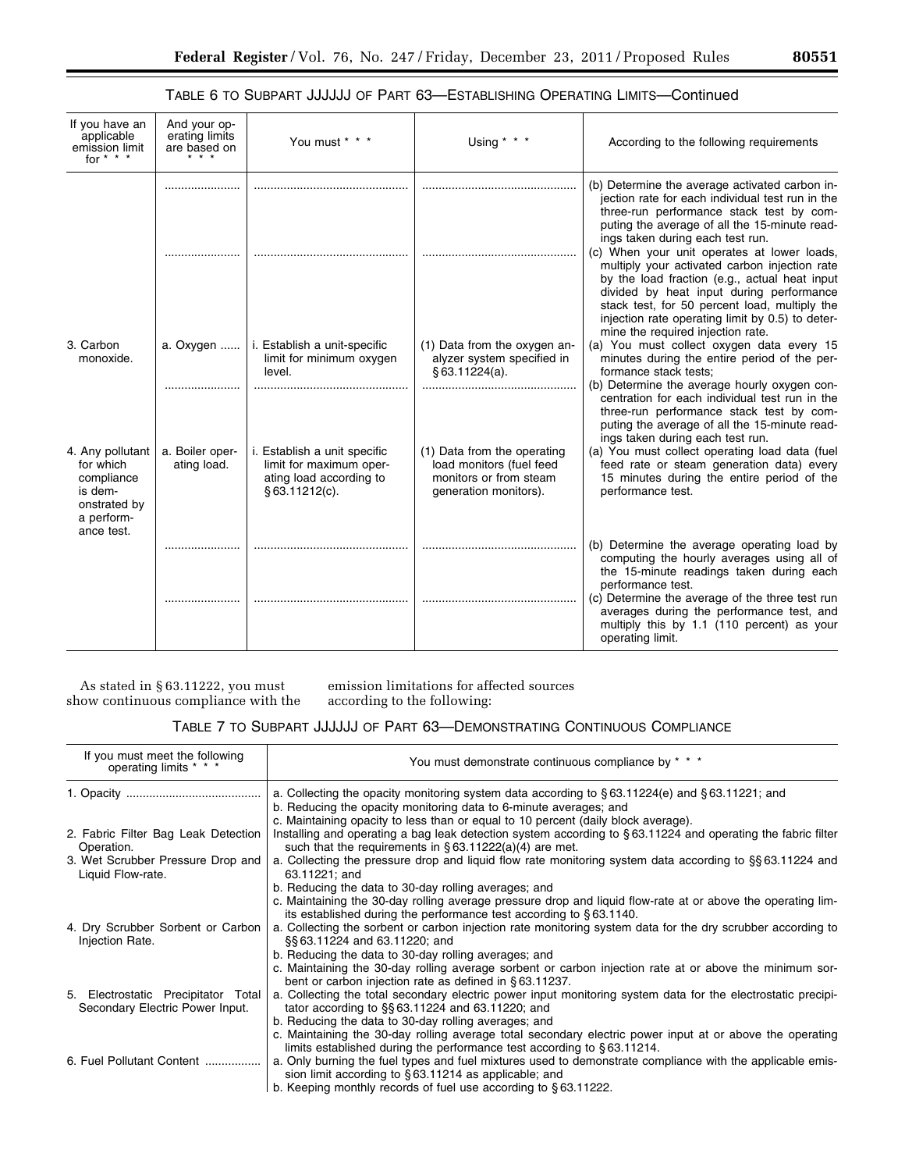# TABLE 6 TO SUBPART JJJJJJ OF PART 63—ESTABLISHING OPERATING LIMITS—Continued

| If you have an<br>applicable<br>emission limit<br>for $* * * *$                      | And your op-<br>erating limits<br>are based on | You must * * *                                                                                      | Using $*$ $*$ $*$                                                                                          | According to the following requirements                                                                                                                                                                                                                                                                                                                                             |
|--------------------------------------------------------------------------------------|------------------------------------------------|-----------------------------------------------------------------------------------------------------|------------------------------------------------------------------------------------------------------------|-------------------------------------------------------------------------------------------------------------------------------------------------------------------------------------------------------------------------------------------------------------------------------------------------------------------------------------------------------------------------------------|
|                                                                                      |                                                |                                                                                                     |                                                                                                            | (b) Determine the average activated carbon in-<br>jection rate for each individual test run in the<br>three-run performance stack test by com-                                                                                                                                                                                                                                      |
|                                                                                      |                                                |                                                                                                     |                                                                                                            | puting the average of all the 15-minute read-<br>ings taken during each test run.<br>(c) When your unit operates at lower loads,<br>multiply your activated carbon injection rate<br>by the load fraction (e.g., actual heat input<br>divided by heat input during performance<br>stack test, for 50 percent load, multiply the<br>injection rate operating limit by 0.5) to deter- |
| 3. Carbon<br>monoxide.                                                               | a. Oxygen                                      | i. Establish a unit-specific<br>limit for minimum oxygen<br>level.                                  | (1) Data from the oxygen an-<br>alyzer system specified in<br>§ 63.11224(a).                               | mine the required injection rate.<br>(a) You must collect oxygen data every 15<br>minutes during the entire period of the per-<br>formance stack tests;<br>(b) Determine the average hourly oxygen con-                                                                                                                                                                             |
| 4. Any pollutant<br>for which<br>compliance<br>is dem-<br>onstrated by<br>a perform- | a. Boiler oper-<br>ating load.                 | i. Establish a unit specific<br>limit for maximum oper-<br>ating load according to<br>§63.11212(c). | (1) Data from the operating<br>load monitors (fuel feed<br>monitors or from steam<br>generation monitors). | centration for each individual test run in the<br>three-run performance stack test by com-<br>puting the average of all the 15-minute read-<br>ings taken during each test run.<br>(a) You must collect operating load data (fuel<br>feed rate or steam generation data) every<br>15 minutes during the entire period of the<br>performance test.                                   |
| ance test.                                                                           |                                                |                                                                                                     |                                                                                                            | (b) Determine the average operating load by<br>computing the hourly averages using all of<br>the 15-minute readings taken during each                                                                                                                                                                                                                                               |
|                                                                                      |                                                |                                                                                                     |                                                                                                            | performance test.<br>(c) Determine the average of the three test run<br>averages during the performance test, and<br>multiply this by 1.1 (110 percent) as your<br>operating limit.                                                                                                                                                                                                 |

As stated in § 63.11222, you must show continuous compliance with the emission limitations for affected sources according to the following:

# TABLE 7 TO SUBPART JJJJJJ OF PART 63—DEMONSTRATING CONTINUOUS COMPLIANCE

| If you must meet the following<br>operating limits *                   | You must demonstrate continuous compliance by * * *                                                                                                                                     |
|------------------------------------------------------------------------|-----------------------------------------------------------------------------------------------------------------------------------------------------------------------------------------|
|                                                                        | a. Collecting the opacity monitoring system data according to $\S 63.11224(e)$ and $\S 63.11221$ ; and<br>b. Reducing the opacity monitoring data to 6-minute averages; and             |
|                                                                        | c. Maintaining opacity to less than or equal to 10 percent (daily block average).                                                                                                       |
| 2. Fabric Filter Bag Leak Detection<br>Operation.                      | Installing and operating a bag leak detection system according to §63.11224 and operating the fabric filter<br>such that the requirements in $\S 63.11222(a)(4)$ are met.               |
| 3. Wet Scrubber Pressure Drop and<br>Liquid Flow-rate.                 | a. Collecting the pressure drop and liquid flow rate monitoring system data according to §§63.11224 and<br>63.11221; and                                                                |
|                                                                        | b. Reducing the data to 30-day rolling averages; and                                                                                                                                    |
|                                                                        | c. Maintaining the 30-day rolling average pressure drop and liquid flow-rate at or above the operating lim-<br>its established during the performance test according to §63.1140.       |
| 4. Dry Scrubber Sorbent or Carbon<br>Injection Rate.                   | a. Collecting the sorbent or carbon injection rate monitoring system data for the dry scrubber according to<br>§§63.11224 and 63.11220; and                                             |
|                                                                        | b. Reducing the data to 30-day rolling averages; and                                                                                                                                    |
|                                                                        | c. Maintaining the 30-day rolling average sorbent or carbon injection rate at or above the minimum sor-<br>bent or carbon injection rate as defined in §63.11237.                       |
| 5. Electrostatic Precipitator Total<br>Secondary Electric Power Input. | a. Collecting the total secondary electric power input monitoring system data for the electrostatic precipi-<br>tator according to §§63.11224 and 63.11220; and                         |
|                                                                        | b. Reducing the data to 30-day rolling averages; and                                                                                                                                    |
|                                                                        | c. Maintaining the 30-day rolling average total secondary electric power input at or above the operating<br>limits established during the performance test according to $\S 63.11214$ . |
| 6. Fuel Pollutant Content                                              | a. Only burning the fuel types and fuel mixtures used to demonstrate compliance with the applicable emis-<br>sion limit according to $\S 63.11214$ as applicable; and                   |
|                                                                        | b. Keeping monthly records of fuel use according to $\S 63.11222$ .                                                                                                                     |